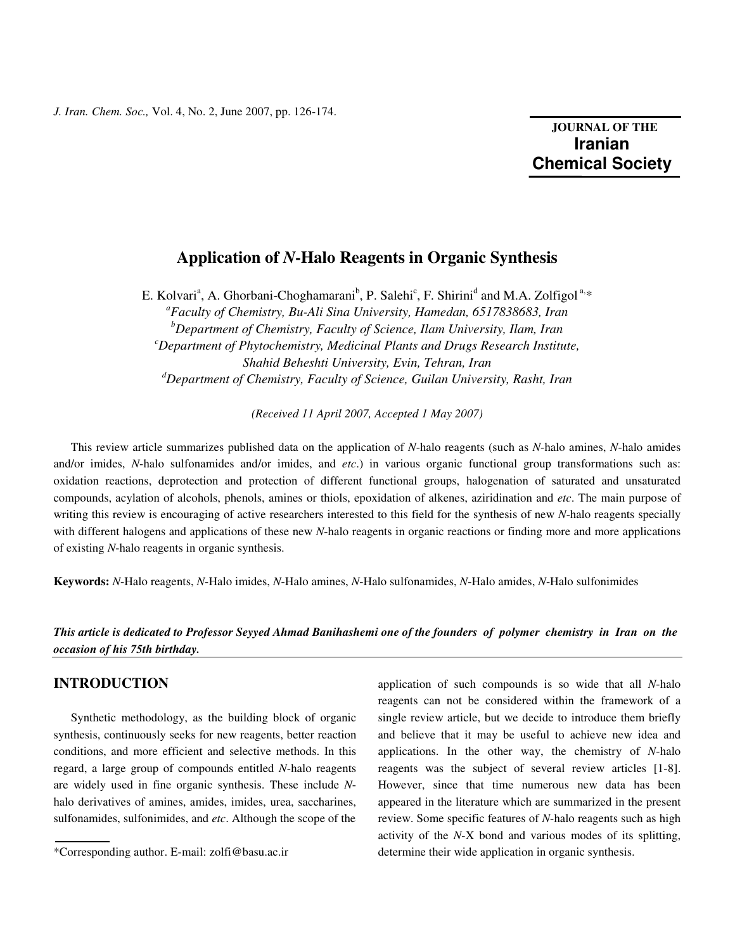*J. Iran. Chem. Soc.,* Vol. 4, No. 2, June 2007, pp. 126-174.

**JOURNAL OF THE**  **Iranian Chemical Society** 

# **Application of** *N***-Halo Reagents in Organic Synthesis**

E. Kolvari<sup>a</sup>, A. Ghorbani-Choghamarani<sup>b</sup>, P. Salehi<sup>c</sup>, F. Shirini<sup>d</sup> and M.A. Zolfigol<sup>a,\*</sup> *<sup>a</sup>Faculty of Chemistry, Bu-Ali Sina University, Hamedan, 6517838683, Iran <sup>b</sup>Department of Chemistry, Faculty of Science, Ilam University, Ilam, Iran <sup>c</sup>Department of Phytochemistry, Medicinal Plants and Drugs Research Institute, Shahid Beheshti University, Evin, Tehran, Iran <sup>d</sup>Department of Chemistry, Faculty of Science, Guilan University, Rasht, Iran* 

*(Received 11 April 2007, Accepted 1 May 2007)* 

 This review article summarizes published data on the application of *N*-halo reagents (such as *N*-halo amines, *N*-halo amides and/or imides, *N*-halo sulfonamides and/or imides, and *etc*.) in various organic functional group transformations such as: oxidation reactions, deprotection and protection of different functional groups, halogenation of saturated and unsaturated compounds, acylation of alcohols, phenols, amines or thiols, epoxidation of alkenes, aziridination and *etc*. The main purpose of writing this review is encouraging of active researchers interested to this field for the synthesis of new *N*-halo reagents specially with different halogens and applications of these new *N*-halo reagents in organic reactions or finding more and more applications of existing *N*-halo reagents in organic synthesis.

**Keywords:** *N*-Halo reagents, *N*-Halo imides, *N*-Halo amines, *N*-Halo sulfonamides, *N*-Halo amides, *N*-Halo sulfonimides

*This article is dedicated to Professor Seyyed Ahmad Banihashemi one of the founders of polymer chemistry in Iran on the occasion of his 75th birthday.*

# **INTRODUCTION**

 Synthetic methodology, as the building block of organic synthesis, continuously seeks for new reagents, better reaction conditions, and more efficient and selective methods. In this regard, a large group of compounds entitled *N*-halo reagents are widely used in fine organic synthesis. These include *N*halo derivatives of amines, amides, imides, urea, saccharines, sulfonamides, sulfonimides, and *etc*. Although the scope of the

application of such compounds is so wide that all *N*-halo reagents can not be considered within the framework of a single review article, but we decide to introduce them briefly and believe that it may be useful to achieve new idea and applications. In the other way, the chemistry of *N*-halo reagents was the subject of several review articles [1-8]. However, since that time numerous new data has been appeared in the literature which are summarized in the present review. Some specific features of *N*-halo reagents such as high activity of the *N*-X bond and various modes of its splitting, determine their wide application in organic synthesis.

<sup>\*</sup>Corresponding author. E-mail: zolfi@basu.ac.ir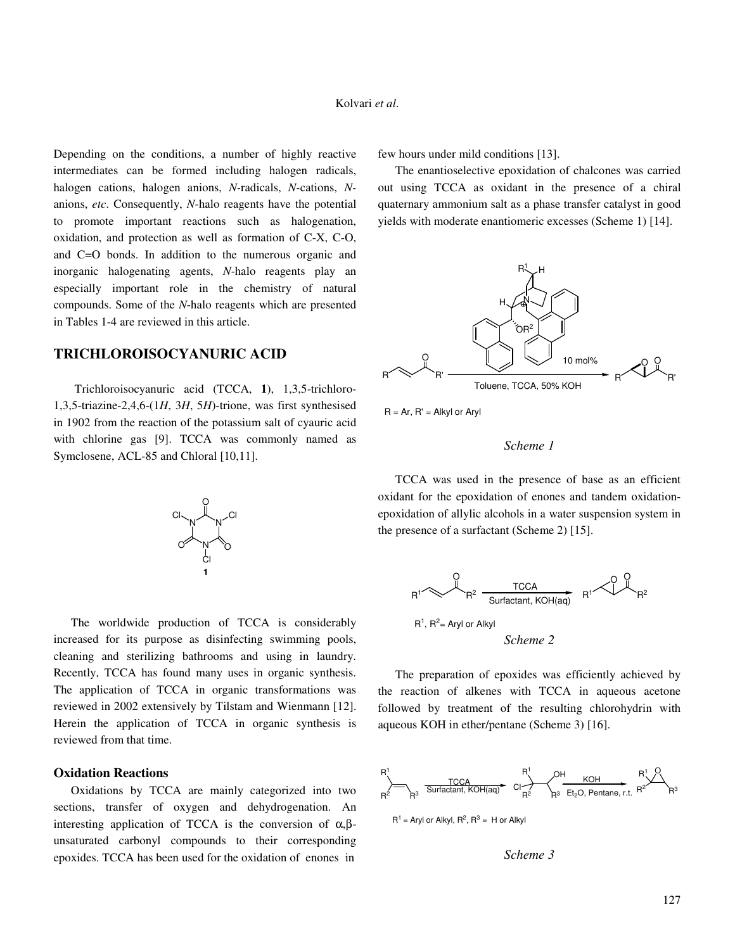Depending on the conditions, a number of highly reactive intermediates can be formed including halogen radicals, halogen cations, halogen anions, *N-*radicals, *N-*cations, *N*anions, *etc*. Consequently, *N*-halo reagents have the potential to promote important reactions such as halogenation, oxidation, and protection as well as formation of C-X, C-O, and C=O bonds. In addition to the numerous organic and inorganic halogenating agents, *N*-halo reagents play an especially important role in the chemistry of natural compounds. Some of the *N*-halo reagents which are presented in Tables 1-4 are reviewed in this article.

# **TRICHLOROISOCYANURIC ACID**

Trichloroisocyanuric acid (TCCA, **1**), 1,3,5-trichloro-1,3,5-triazine-2,4,6-(1*H*, 3*H*, 5*H*)-trione, was first synthesised in 1902 from the reaction of the potassium salt of cyauric acid with chlorine gas [9]. TCCA was commonly named as Symclosene, ACL-85 and Chloral [10,11].



 The worldwide production of TCCA is considerably increased for its purpose as disinfecting swimming pools, cleaning and sterilizing bathrooms and using in laundry. Recently, TCCA has found many uses in organic synthesis. The application of TCCA in organic transformations was reviewed in 2002 extensively by Tilstam and Wienmann [12]. Herein the application of TCCA in organic synthesis is reviewed from that time.

### **Oxidation Reactions**

 Oxidations by TCCA are mainly categorized into two sections, transfer of oxygen and dehydrogenation. An interesting application of TCCA is the conversion of  $\alpha, \beta$ unsaturated carbonyl compounds to their corresponding epoxides. TCCA has been used for the oxidation of enones in

few hours under mild conditions [13].

 The enantioselective epoxidation of chalcones was carried out using TCCA as oxidant in the presence of a chiral quaternary ammonium salt as a phase transfer catalyst in good yields with moderate enantiomeric excesses (Scheme 1) [14].



 $R = Ar$ ,  $R' = Alkyl$  or Aryl

### *Scheme 1*

 TCCA was used in the presence of base as an efficient oxidant for the epoxidation of enones and tandem oxidationepoxidation of allylic alcohols in a water suspension system in the presence of a surfactant (Scheme 2) [15].



 The preparation of epoxides was efficiently achieved by the reaction of alkenes with TCCA in aqueous acetone followed by treatment of the resulting chlorohydrin with aqueous KOH in ether/pentane (Scheme 3) [16].



 $R^1$  = Aryl or Alkyl,  $R^2$ ,  $R^3$  = H or Alkyl

*Scheme 3*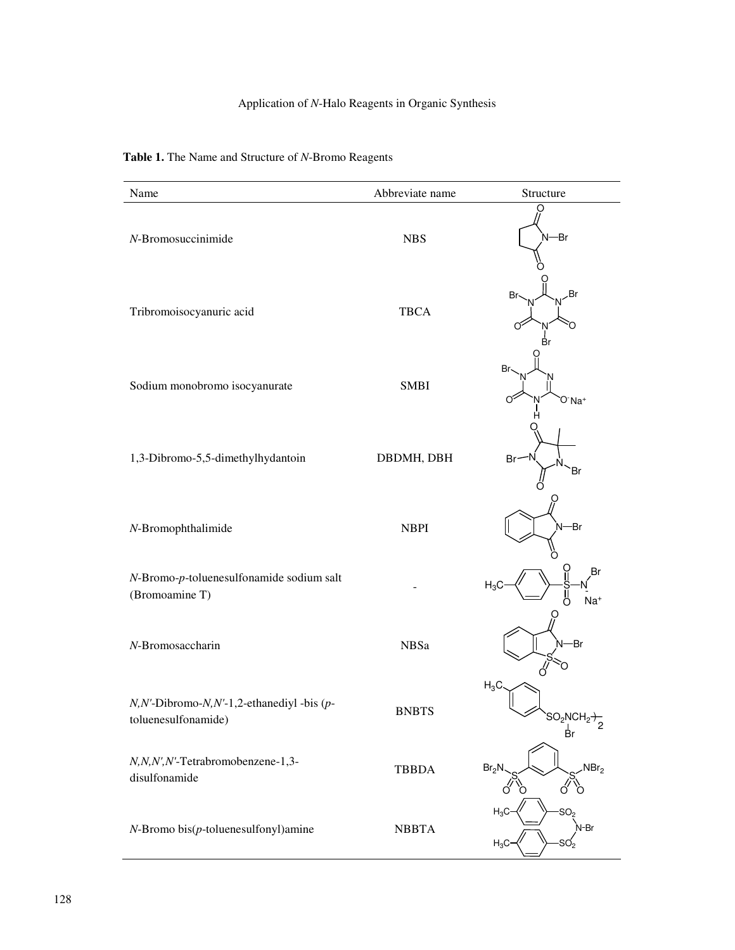| Name                                                                 | Abbreviate name | Structure                                                    |
|----------------------------------------------------------------------|-----------------|--------------------------------------------------------------|
| N-Bromosuccinimide                                                   | <b>NBS</b>      | O<br>N—Br                                                    |
| Tribromoisocyanuric acid                                             | <b>TBCA</b>     | .Br<br>Br<br>Br                                              |
| Sodium monobromo isocyanurate                                        | <b>SMBI</b>     | B۱<br>$O^r$ Na <sup>+</sup><br>н                             |
| 1,3-Dibromo-5,5-dimethylhydantoin                                    | DBDMH, DBH      | Br-<br>Br                                                    |
| N-Bromophthalimide                                                   | <b>NBPI</b>     | N-Br                                                         |
| N-Bromo-p-toluenesulfonamide sodium salt<br>(Bromoamine T)           |                 | $H_3$<br>$Na+$                                               |
| N-Bromosaccharin                                                     | <b>NBSa</b>     | N—Br                                                         |
| $N, N'$ -Dibromo-N,N'-1,2-ethanediyl -bis (p-<br>toluenesulfonamide) | <b>BNBTS</b>    | $H_3C$<br>$SO_2NCH_2 + \frac{1}{2}$<br>$\frac{1}{\text{Br}}$ |
| N,N,N',N'-Tetrabromobenzene-1,3-<br>disulfonamide                    | <b>TBBDA</b>    | NBr <sub>2</sub><br>$Br_2N$                                  |
| $N$ -Bromo bis $(p$ -toluenesulfonyl)amine                           | <b>NBBTA</b>    | SO,<br>$H_3$<br>∖l-Br<br>$H_3C$                              |

# **Table 1.** The Name and Structure of *N*-Bromo Reagents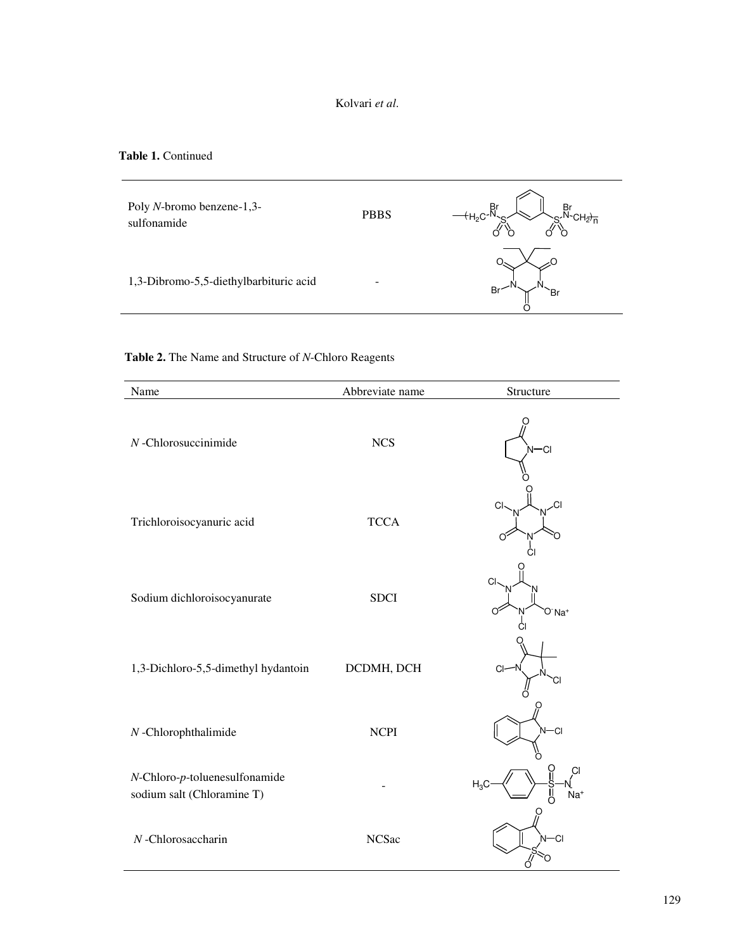# **Table 1.** Continued



# **Table 2.** The Name and Structure of *N*-Chloro Reagents

| Name                                                               | Abbreviate name | Structure                         |
|--------------------------------------------------------------------|-----------------|-----------------------------------|
| $N$ -Chlorosuccinimide                                             | <b>NCS</b>      | -CI<br>N-                         |
| Trichloroisocyanuric acid                                          | <b>TCCA</b>     | CI<br>.CI<br>ĊI                   |
| Sodium dichloroisocyanurate                                        | <b>SDCI</b>     | CI<br>$O^r$ Na <sup>+</sup><br>ĊI |
| 1,3-Dichloro-5,5-dimethyl hydantoin                                | DCDMH, DCH      |                                   |
| $N$ -Chlorophthalimide                                             | <b>NCPI</b>     | $N$ –Cl                           |
| $N$ -Chloro- $p$ -toluenesulfonamide<br>sodium salt (Chloramine T) |                 | $H_3$<br>$Na+$                    |
| $N$ -Chlorosaccharin                                               | <b>NCSac</b>    |                                   |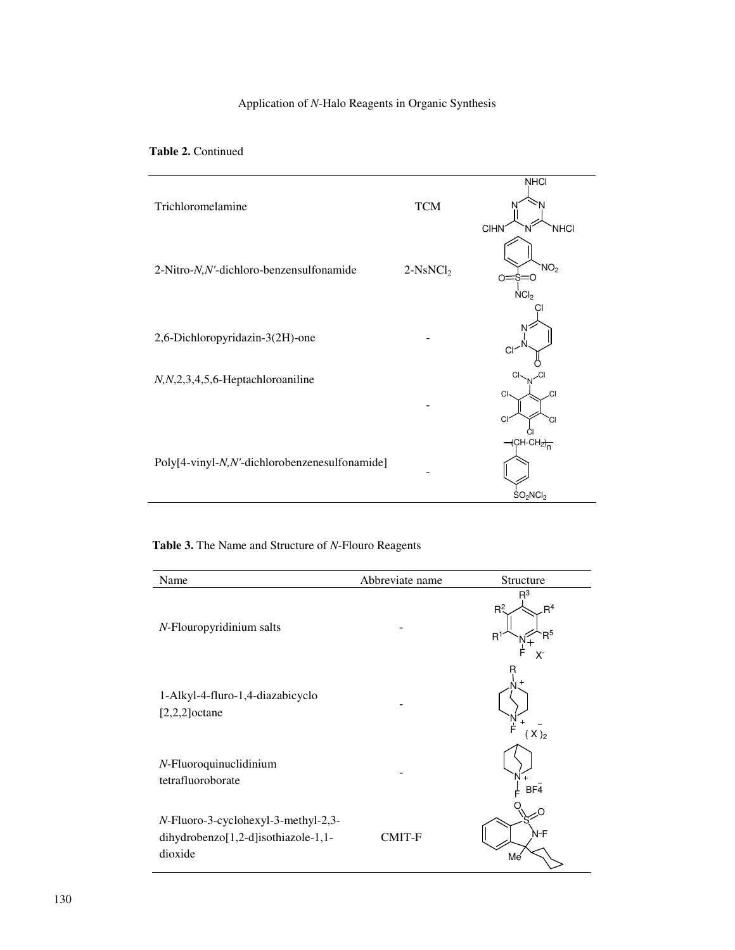# Application of *N*-Halo Reagents in Organic Synthesis

# **Table 2.** Continued



### **Table 3.** The Name and Structure of *N*-Flouro Reagents

| Name                                                                                  | Abbreviate name | Structure                                                                 |
|---------------------------------------------------------------------------------------|-----------------|---------------------------------------------------------------------------|
| N-Flouropyridinium salts                                                              |                 | R <sup>3</sup><br>$R^2$<br>R <sup>4</sup><br>$R^5$<br>R <sup>1</sup><br>X |
| 1-Alkyl-4-fluro-1,4-diazabicyclo<br>$[2,2,2]$ octane                                  |                 | R<br>יי<br>F<br>$(X)_2$                                                   |
| $N$ -Fluoroquinuclidinium<br>tetrafluoroborate                                        |                 | BF4                                                                       |
| N-Fluoro-3-cyclohexyl-3-methyl-2,3-<br>dihydrobenzo[1,2-d]isothiazole-1,1-<br>dioxide | <b>CMIT-F</b>   | N-F<br>Me                                                                 |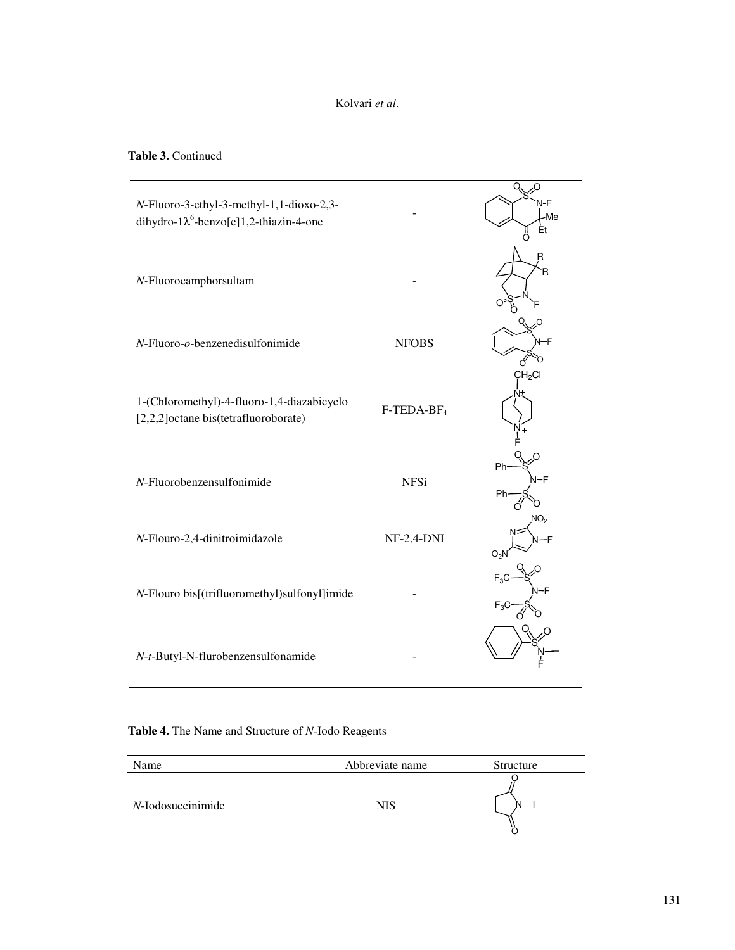### **Table 3.** Continued

| N-Fluoro-3-ethyl-3-methyl-1,1-dioxo-2,3-<br>dihydro-1 $\lambda^6$ -benzo[e]1,2-thiazin-4-one |              | $V-F$<br>Me<br>Εt |
|----------------------------------------------------------------------------------------------|--------------|-------------------|
| N-Fluorocamphorsultam                                                                        |              | R<br>R            |
| $N$ -Fluoro- $o$ -benzenedisulfonimide                                                       | <b>NFOBS</b> |                   |
| 1-(Chloromethyl)-4-fluoro-1,4-diazabicyclo<br>[2,2,2] octane bis(tetrafluoroborate)          | $F-TEDA-BF4$ | CH2Cl             |
| N-Fluorobenzensulfonimide                                                                    | <b>NFSi</b>  | Ph                |
| N-Flouro-2,4-dinitroimidazole                                                                | $NF-2,4-DNI$ | O <sub>2</sub>    |
| N-Flouro bis[(trifluoromethyl)sulfonyl]imide                                                 |              | J-F               |
| N-t-Butyl-N-flurobenzensulfonamide                                                           |              |                   |

# **Table 4.** The Name and Structure of *N*-Iodo Reagents

| Name              | Abbreviate name | Structure |
|-------------------|-----------------|-----------|
| N-Iodosuccinimide | NIS             |           |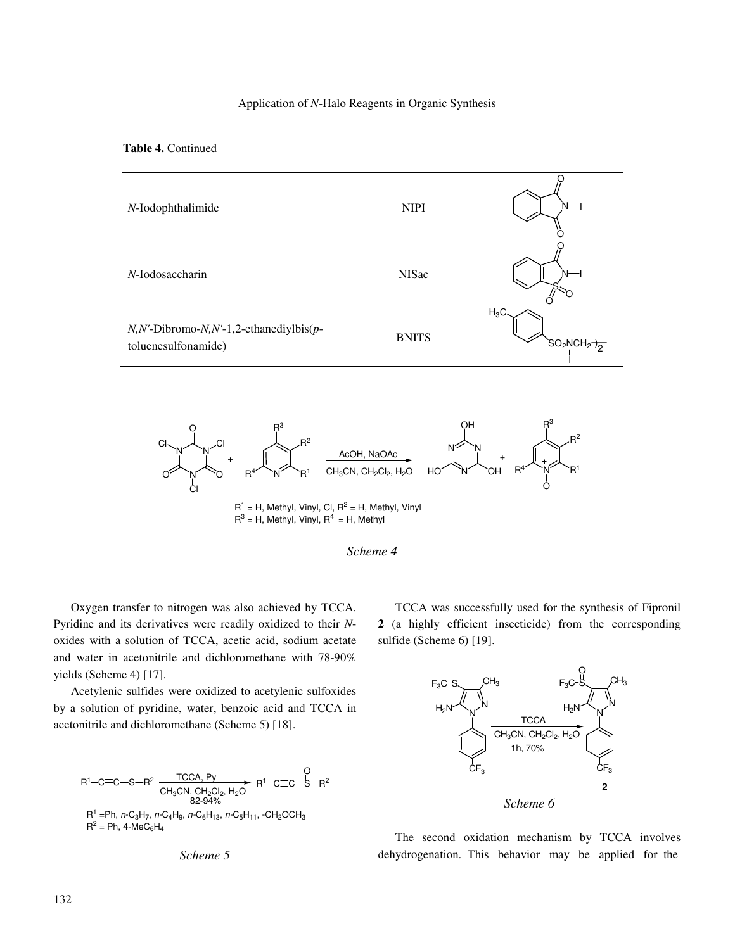### Application of *N*-Halo Reagents in Organic Synthesis

### **Table 4.** Continued







 Oxygen transfer to nitrogen was also achieved by TCCA. Pyridine and its derivatives were readily oxidized to their *N*oxides with a solution of TCCA, acetic acid, sodium acetate and water in acetonitrile and dichloromethane with 78-90% yields (Scheme 4) [17].

 Acetylenic sulfides were oxidized to acetylenic sulfoxides by a solution of pyridine, water, benzoic acid and TCCA in acetonitrile and dichloromethane (Scheme 5) [18].



*Scheme 5* 

 TCCA was successfully used for the synthesis of Fipronil **2** (a highly efficient insecticide) from the corresponding sulfide (Scheme 6) [19].



 The second oxidation mechanism by TCCA involves dehydrogenation. This behavior may be applied for the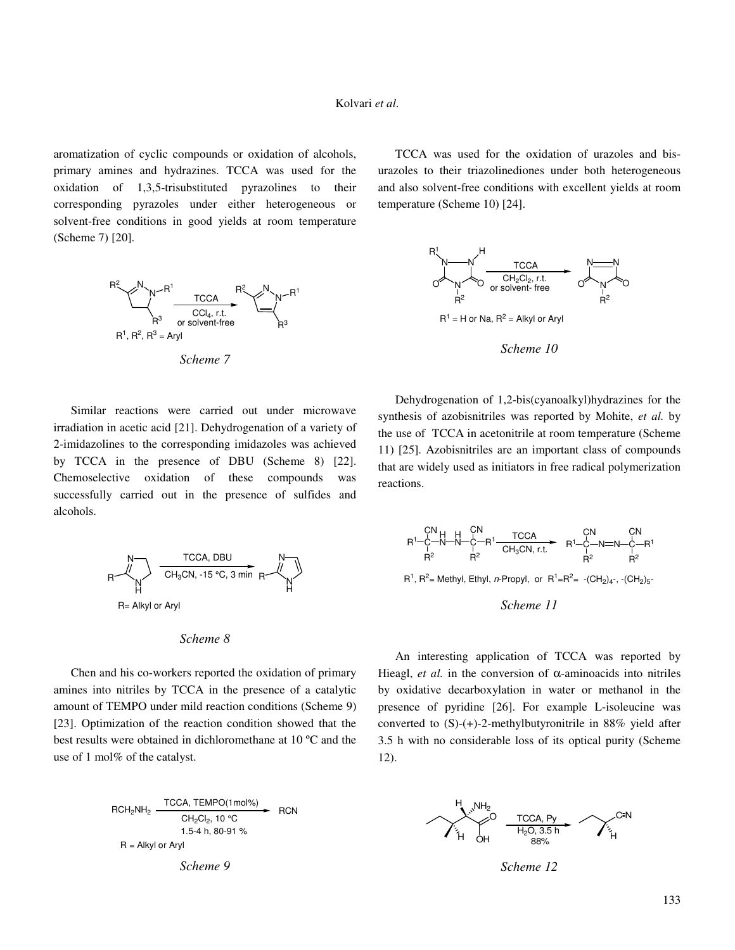aromatization of cyclic compounds or oxidation of alcohols, primary amines and hydrazines. TCCA was used for the oxidation of 1,3,5-trisubstituted pyrazolines to their corresponding pyrazoles under either heterogeneous or solvent-free conditions in good yields at room temperature (Scheme 7) [20].



*Scheme 7* 

 Similar reactions were carried out under microwave irradiation in acetic acid [21]. Dehydrogenation of a variety of 2-imidazolines to the corresponding imidazoles was achieved by TCCA in the presence of DBU (Scheme 8) [22]. Chemoselective oxidation of these compounds was successfully carried out in the presence of sulfides and alcohols.



#### *Scheme 8*

 Chen and his co-workers reported the oxidation of primary amines into nitriles by TCCA in the presence of a catalytic amount of TEMPO under mild reaction conditions (Scheme 9) [23]. Optimization of the reaction condition showed that the best results were obtained in dichloromethane at 10 ºC and the use of 1 mol% of the catalyst.



*Scheme 9* 

 TCCA was used for the oxidation of urazoles and bisurazoles to their triazolinediones under both heterogeneous and also solvent-free conditions with excellent yields at room temperature (Scheme 10) [24].



 Dehydrogenation of 1,2-bis(cyanoalkyl)hydrazines for the synthesis of azobisnitriles was reported by Mohite, *et al.* by the use of TCCA in acetonitrile at room temperature (Scheme 11) [25]. Azobisnitriles are an important class of compounds that are widely used as initiators in free radical polymerization reactions.

$$
R^{1} - \underset{R^{2}}{\overset{CN}{C}} - N - N - \underset{R^{2}}{\overset{CN}{C}} - R^{1} \xrightarrow{\text{TCCA}} R^{1} - \underset{R^{2}}{\overset{CN}{C}} - N = N - \underset{R^{2}}{\overset{CN}{C}} - R^{1}
$$
\n
$$
R^{2} \xrightarrow{\overset{N}{R^{2}}} R^{2} \xrightarrow{\overset{N}{R^{2}}} R^{2} \xrightarrow{\overset{N}{R^{2}}}
$$
\n
$$
R^{1}, R^{2} = \text{Methyl, Ethyl, } n\text{-Propyl, or } R^{1} = R^{2} = \cdot (CH_{2})_{4^{-}} \cdot (CH_{2})_{5^{-}}
$$

### *Scheme 11*

 An interesting application of TCCA was reported by Hieagl, *et al.* in the conversion of  $\alpha$ -aminoacids into nitriles by oxidative decarboxylation in water or methanol in the presence of pyridine [26]. For example L-isoleucine was converted to  $(S)-(+)$ -2-methylbutyronitrile in 88% yield after 3.5 h with no considerable loss of its optical purity (Scheme 12).



*Scheme 12*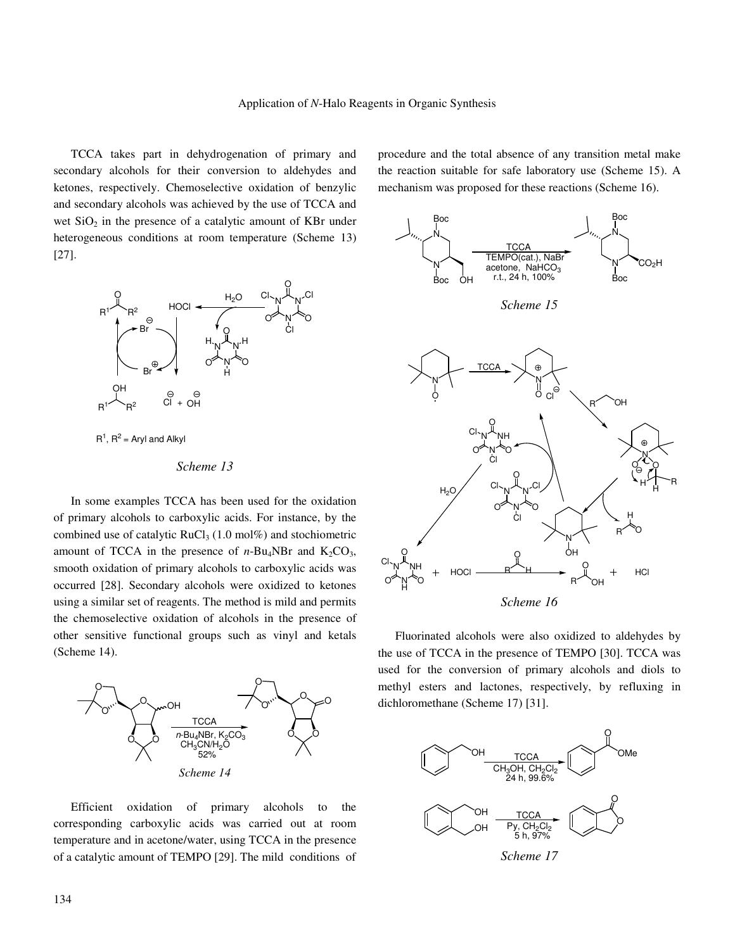TCCA takes part in dehydrogenation of primary and secondary alcohols for their conversion to aldehydes and ketones, respectively. Chemoselective oxidation of benzylic and secondary alcohols was achieved by the use of TCCA and wet  $SiO<sub>2</sub>$  in the presence of a catalytic amount of KBr under heterogeneous conditions at room temperature (Scheme 13) [27].



 $R^1$ ,  $R^2$  = Aryl and Alkyl

### *Scheme 13*

 In some examples TCCA has been used for the oxidation of primary alcohols to carboxylic acids. For instance, by the combined use of catalytic  $RuCl<sub>3</sub> (1.0 mol%)$  and stochiometric amount of TCCA in the presence of  $n-Bu_4NBr$  and  $K_2CO_3$ , smooth oxidation of primary alcohols to carboxylic acids was occurred [28]. Secondary alcohols were oxidized to ketones using a similar set of reagents. The method is mild and permits the chemoselective oxidation of alcohols in the presence of other sensitive functional groups such as vinyl and ketals (Scheme 14).



 Efficient oxidation of primary alcohols to the corresponding carboxylic acids was carried out at room temperature and in acetone/water, using TCCA in the presence of a catalytic amount of TEMPO [29]. The mild conditions of procedure and the total absence of any transition metal make the reaction suitable for safe laboratory use (Scheme 15). A mechanism was proposed for these reactions (Scheme 16).







 Fluorinated alcohols were also oxidized to aldehydes by the use of TCCA in the presence of TEMPO [30]. TCCA was used for the conversion of primary alcohols and diols to methyl esters and lactones, respectively, by refluxing in dichloromethane (Scheme 17) [31].



*Scheme 17*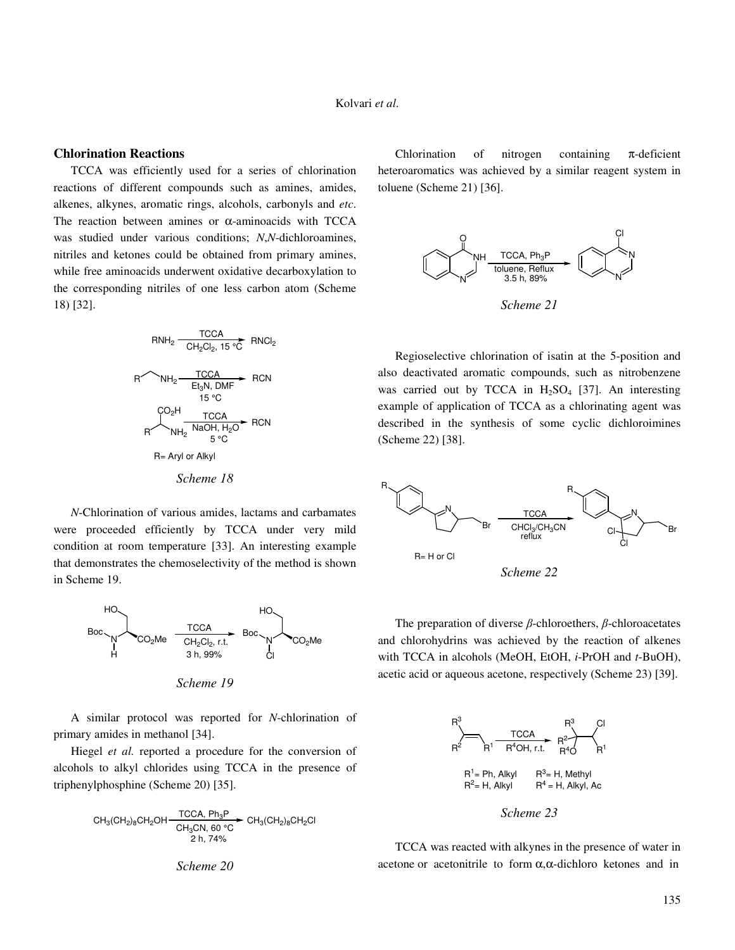### **Chlorination Reactions**

 TCCA was efficiently used for a series of chlorination reactions of different compounds such as amines, amides, alkenes, alkynes, aromatic rings, alcohols, carbonyls and *etc*. The reaction between amines or  $\alpha$ -aminoacids with TCCA was studied under various conditions; *N*,*N*-dichloroamines, nitriles and ketones could be obtained from primary amines, while free aminoacids underwent oxidative decarboxylation to the corresponding nitriles of one less carbon atom (Scheme 18) [32].

$$
RNH_2 \xrightarrow{TCCA} RNCI_2
$$
  
\n
$$
RVH_2 \xrightarrow{TCCA} RCNI_2
$$
  
\n
$$
RVH_2 \xrightarrow{TCCA} RCNI_2
$$
  
\n
$$
RS^2
$$
  
\n
$$
RS^2
$$
  
\n
$$
RS^2
$$
  
\n
$$
R^2
$$
  
\n
$$
NH_2
$$
  
\n
$$
NdOH, H_2O
$$
  
\n
$$
S^2C
$$
  
\n
$$
R = AryI or Alkyl
$$
  
\n
$$
Scheme 18
$$

 *N*-Chlorination of various amides, lactams and carbamates were proceeded efficiently by TCCA under very mild condition at room temperature [33]. An interesting example that demonstrates the chemoselectivity of the method is shown in Scheme 19.



*Scheme 19* 

 A similar protocol was reported for *N*-chlorination of primary amides in methanol [34].

 Hiegel *et al.* reported a procedure for the conversion of alcohols to alkyl chlorides using TCCA in the presence of triphenylphosphine (Scheme 20) [35].

$$
\text{CH}_3(\text{CH}_2)_8\text{CH}_2\text{OH}\frac{\text{TCCA, Ph}_3\text{P}}{\text{CH}_3\text{CN, 60 °C}}\xrightarrow{CH_3(\text{CH}_2)_8\text{CH}_2\text{Cl}}
$$

*Scheme 20* 

Chlorination of nitrogen containing  $\pi$ -deficient heteroaromatics was achieved by a similar reagent system in toluene (Scheme 21) [36].



 Regioselective chlorination of isatin at the 5-position and also deactivated aromatic compounds, such as nitrobenzene was carried out by TCCA in  $H_2SO_4$  [37]. An interesting example of application of TCCA as a chlorinating agent was described in the synthesis of some cyclic dichloroimines (Scheme 22) [38].



*Scheme 22* 

The preparation of diverse  $\beta$ -chloroethers,  $\beta$ -chloroacetates and chlorohydrins was achieved by the reaction of alkenes with TCCA in alcohols (MeOH, EtOH, *i*-PrOH and *t*-BuOH), acetic acid or aqueous acetone, respectively (Scheme 23) [39].



 TCCA was reacted with alkynes in the presence of water in acetone or acetonitrile to form  $\alpha$ , $\alpha$ -dichloro ketones and in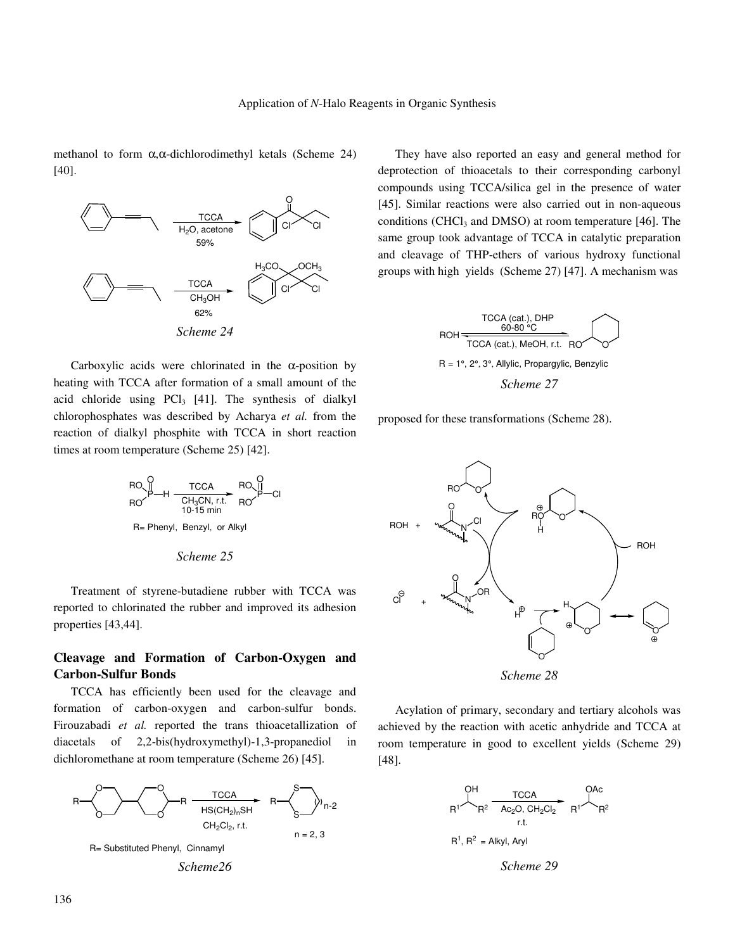methanol to form α,α-dichlorodimethyl ketals (Scheme 24) [40].



Carboxylic acids were chlorinated in the  $\alpha$ -position by heating with TCCA after formation of a small amount of the acid chloride using  $PCl<sub>3</sub>$  [41]. The synthesis of dialkyl chlorophosphates was described by Acharya *et al.* from the reaction of dialkyl phosphite with TCCA in short reaction times at room temperature (Scheme 25) [42].

$$
\begin{array}{ccc}\n\text{RO} & \text{TCCA} & \text{RO} \\
\text{RO} & \text{CH}_3\text{CN, r.t.} & \text{RO} \\
\text{RO} & \text{CH}_3\text{CN, r.t.} & \text{RO} \\
\text{10-15 min} & \text{RO} & \text{P} \\
\text{R} = \text{PhenyI, Benzyl, or Alkyl}\n\end{array}
$$

*Scheme 25* 

 Treatment of styrene-butadiene rubber with TCCA was reported to chlorinated the rubber and improved its adhesion properties [43,44].

# **Cleavage and Formation of Carbon-Oxygen and Carbon-Sulfur Bonds**

 TCCA has efficiently been used for the cleavage and formation of carbon-oxygen and carbon-sulfur bonds. Firouzabadi *et al.* reported the trans thioacetallization of diacetals of 2,2-bis(hydroxymethyl)-1,3-propanediol in dichloromethane at room temperature (Scheme 26) [45].



 They have also reported an easy and general method for deprotection of thioacetals to their corresponding carbonyl compounds using TCCA/silica gel in the presence of water [45]. Similar reactions were also carried out in non-aqueous conditions (CHCl<sub>3</sub> and DMSO) at room temperature [46]. The same group took advantage of TCCA in catalytic preparation and cleavage of THP-ethers of various hydroxy functional groups with high yields (Scheme 27) [47]. A mechanism was

$$
ROH \xrightarrow{\text{TCCA (cat.), DHP}} \overline{\text{TCCA (cat.), MeoH, r.t. } } CO^{\text{20-30} \text{ } \text{ } CO} \times \text{TCCA (cat.), MeoH, r.t. } } CO
$$
\n
$$
R = 1^{\circ}, 2^{\circ}, 3^{\circ}, \text{ Allylic, Propargylic, Benzylic}
$$
\n
$$
Scheme 27
$$

proposed for these transformations (Scheme 28).



 Acylation of primary, secondary and tertiary alcohols was achieved by the reaction with acetic anhydride and TCCA at room temperature in good to excellent yields (Scheme 29) [48].

$$
R^{1}
$$
\n
$$
R^{2}
$$
\n
$$
R^{2}
$$
\n
$$
AC_{2}O, CH_{2}Cl_{2}
$$
\n
$$
R^{1}, R^{2} = Alkyl, AryI
$$
\n
$$
P^{1}
$$
\n
$$
C_{1}
$$
\n
$$
C_{2}
$$
\n
$$
C_{3}
$$
\n
$$
C_{4}
$$
\n
$$
C_{5}
$$
\n
$$
C_{6}
$$
\n
$$
C_{7}
$$
\n
$$
C_{8}
$$
\n
$$
C_{8}
$$
\n
$$
C_{9}
$$
\n
$$
C_{1}
$$
\n
$$
C_{1}
$$
\n
$$
C_{2}
$$
\n
$$
C_{1}
$$
\n
$$
C_{1}
$$
\n
$$
C_{2}
$$
\n
$$
C_{1}
$$
\n
$$
C_{2}
$$
\n
$$
C_{3}
$$
\n
$$
C_{4}
$$
\n
$$
C_{5}
$$
\n
$$
C_{7}
$$
\n
$$
C_{8}
$$
\n
$$
C_{9}
$$
\n
$$
C_{1}
$$
\n
$$
C_{1}
$$
\n
$$
C_{2}
$$
\n
$$
C_{3}
$$
\n
$$
C_{4}
$$
\n
$$
C_{5}
$$
\n
$$
C_{7}
$$
\n
$$
C_{8}
$$
\n
$$
C_{9}
$$
\n
$$
C_{1}
$$
\n
$$
C_{1}
$$
\n
$$
C_{1}
$$
\n
$$
C_{1}
$$
\n
$$
C_{1}
$$
\n
$$
C_{2}
$$
\n
$$
C_{3}
$$
\n
$$
C_{4}
$$
\n
$$
C_{5}
$$
\n
$$
C_{6}
$$
\n
$$
C_{7}
$$
\n
$$
C_{8}
$$
\n
$$
C_{9}
$$
\n
$$
C_{1}
$$
\n
$$
C_{2}
$$
\n
$$
C_{3}
$$
\n
$$
C_{4}
$$
\n
$$
C_{5}
$$
\n

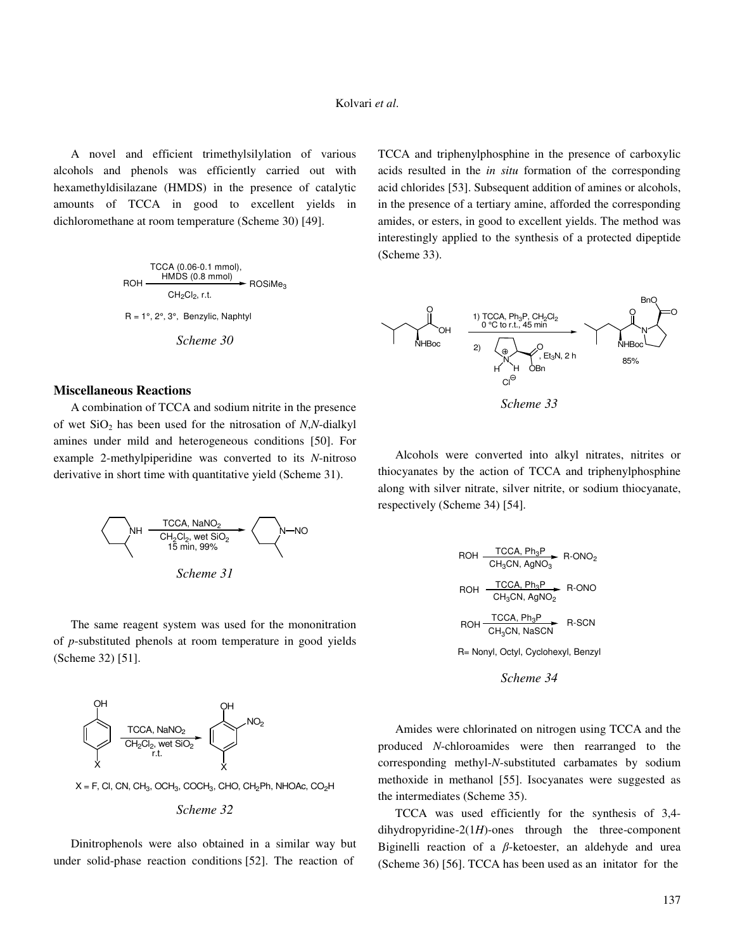A novel and efficient trimethylsilylation of various alcohols and phenols was efficiently carried out with hexamethyldisilazane (HMDS) in the presence of catalytic amounts of TCCA in good to excellent yields in dichloromethane at room temperature (Scheme 30) [49].

$$
\begin{array}{r}\n\text{TCCA (0.06-0.1 mmol)},\\ \text{ROM} \longrightarrow \text{HMDS (0.8 mmol)}\\ \text{CH}_2\text{Cl}_2, \text{r.t.}\\ \text{R} = 1^\circ, 2^\circ, 3^\circ, \text{ Benzylic, Naphtyl}\\ \text{Scheme 30}\n\end{array}
$$

### **Miscellaneous Reactions**

 A combination of TCCA and sodium nitrite in the presence of wet  $SiO<sub>2</sub>$  has been used for the nitrosation of *N*,*N*-dialkyl amines under mild and heterogeneous conditions [50]. For example 2-methylpiperidine was converted to its *N*-nitroso derivative in short time with quantitative yield (Scheme 31).



*Scheme 31* 

 The same reagent system was used for the mononitration of *p*-substituted phenols at room temperature in good yields (Scheme 32) [51].



 $X = F$ , CI, CN, CH<sub>3</sub>, OCH<sub>3</sub>, COCH<sub>3</sub>, CHO, CH<sub>2</sub>Ph, NHOAc, CO<sub>2</sub>H

*Scheme 32* 

 Dinitrophenols were also obtained in a similar way but under solid-phase reaction conditions [52]. The reaction of

TCCA and triphenylphosphine in the presence of carboxylic acids resulted in the *in situ* formation of the corresponding acid chlorides [53]. Subsequent addition of amines or alcohols, in the presence of a tertiary amine, afforded the corresponding amides, or esters, in good to excellent yields. The method was interestingly applied to the synthesis of a protected dipeptide (Scheme 33).



*Scheme 33* 

 Alcohols were converted into alkyl nitrates, nitrites or thiocyanates by the action of TCCA and triphenylphosphine along with silver nitrate, silver nitrite, or sodium thiocyanate, respectively (Scheme 34) [54].

ROM

\n
$$
\frac{\text{TCCA, Ph}_{3}P}{\text{CH}_{3} \text{CN, AgNO}_{3}} \quad \text{R-ONO}_{2}
$$
\nROH

\n
$$
\frac{\text{TCCA, Ph}_{3}P}{\text{CH}_{3} \text{CN, AgNO}_{2}} \quad \text{R-ONO}
$$
\nROH

\n
$$
\frac{\text{TCCA, Ph}_{3}P}{\text{CH}_{3} \text{CN, NaSCN}} \quad \text{R-SCN}
$$
\nRE-NonyI, Octyl, Cyclohexyl, Benzyl

*Scheme 34* 

 Amides were chlorinated on nitrogen using TCCA and the produced *N*-chloroamides were then rearranged to the corresponding methyl-*N*-substituted carbamates by sodium methoxide in methanol [55]. Isocyanates were suggested as the intermediates (Scheme 35).

 TCCA was used efficiently for the synthesis of 3,4 dihydropyridine-2(1*H*)-ones through the three-component Biginelli reaction of a β-ketoester, an aldehyde and urea (Scheme 36) [56]. TCCA has been used as an initator for the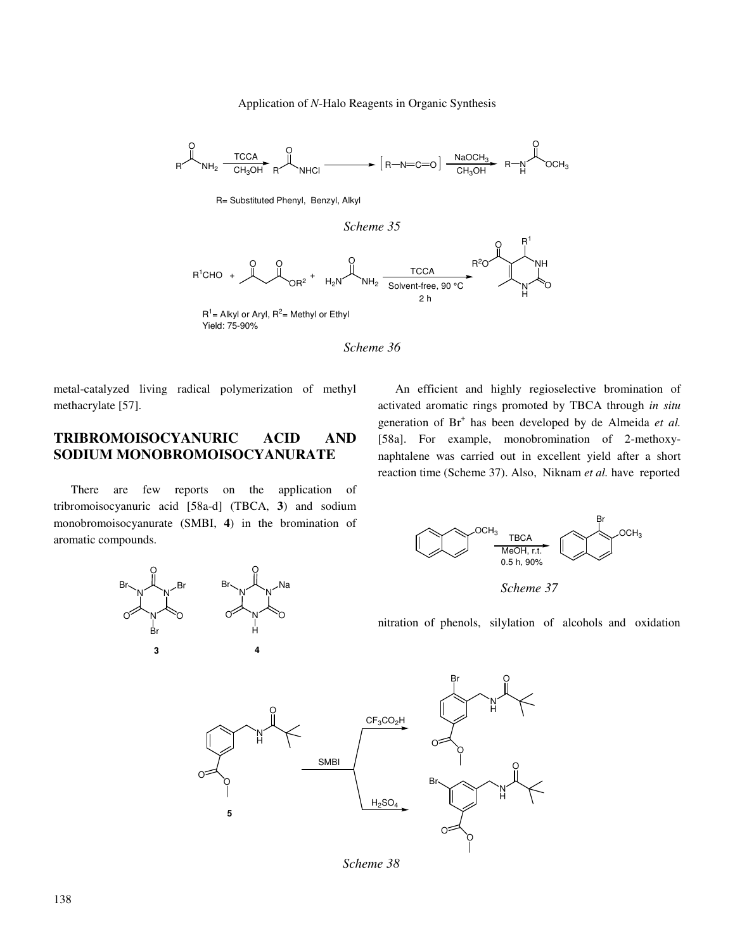### Application of *N*-Halo Reagents in Organic Synthesis



*Scheme 36* 

metal-catalyzed living radical polymerization of methyl methacrylate [57].

# **TRIBROMOISOCYANURIC ACID AND SODIUM MONOBROMOISOCYANURATE**

 There are few reports on the application of tribromoisocyanuric acid [58a-d] (TBCA, **3**) and sodium monobromoisocyanurate (SMBI, **4**) in the bromination of aromatic compounds.

> N O N O N O Br Br Br N O N O N O Br<sub>s</sub> Na H **3 4**



 An efficient and highly regioselective bromination of activated aromatic rings promoted by TBCA through *in situ* generation of Br<sup>+</sup> has been developed by de Almeida et al. [58a]. For example, monobromination of 2-methoxynaphtalene was carried out in excellent yield after a short reaction time (Scheme 37). Also, Niknam *et al.* have reported

*Scheme 37* 

nitration of phenols, silylation of alcohols and oxidation



*Scheme 38*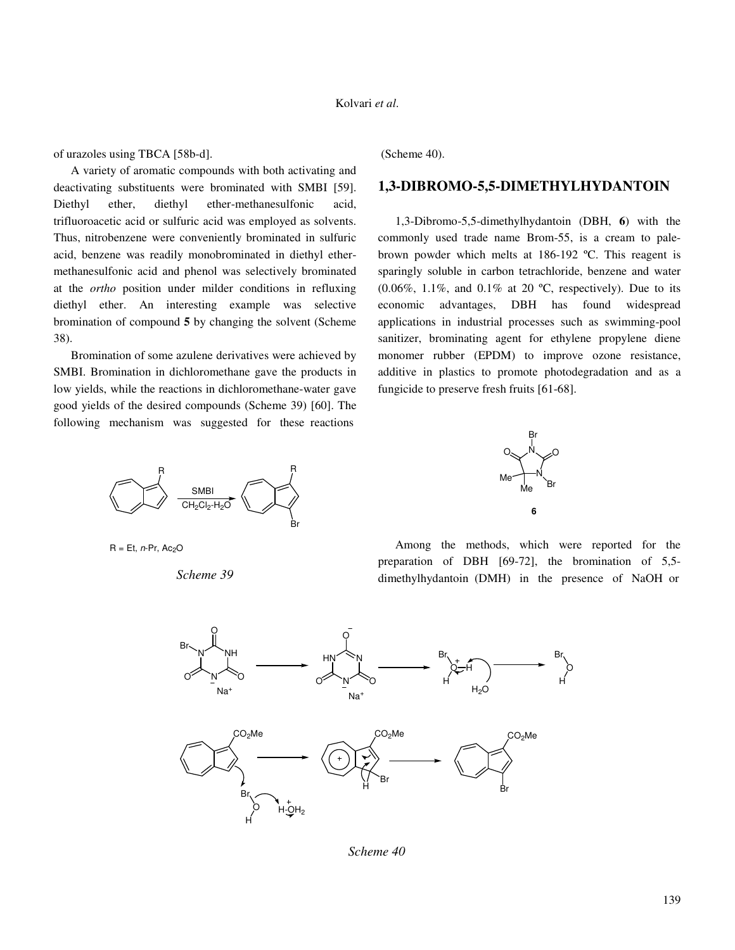of urazoles using TBCA [58b-d].

 A variety of aromatic compounds with both activating and deactivating substituents were brominated with SMBI [59]. Diethyl ether, diethyl ether-methanesulfonic acid, trifluoroacetic acid or sulfuric acid was employed as solvents. Thus, nitrobenzene were conveniently brominated in sulfuric acid, benzene was readily monobrominated in diethyl ethermethanesulfonic acid and phenol was selectively brominated at the *ortho* position under milder conditions in refluxing diethyl ether. An interesting example was selective bromination of compound **5** by changing the solvent (Scheme 38).

 Bromination of some azulene derivatives were achieved by SMBI. Bromination in dichloromethane gave the products in low yields, while the reactions in dichloromethane-water gave good yields of the desired compounds (Scheme 39) [60]. The following mechanism was suggested for these reactions



 $R = Et, n-Pr, Ac_2O$ 



(Scheme 40).

### **1,3-DIBROMO-5,5-DIMETHYLHYDANTOIN**

 1,3-Dibromo-5,5-dimethylhydantoin (DBH, **6**) with the commonly used trade name Brom-55, is a cream to palebrown powder which melts at 186-192 ºC. This reagent is sparingly soluble in carbon tetrachloride, benzene and water  $(0.06\%, 1.1\%, \text{ and } 0.1\% \text{ at } 20 \text{ °C}, \text{ respectively}).$  Due to its economic advantages, DBH has found widespread applications in industrial processes such as swimming-pool sanitizer, brominating agent for ethylene propylene diene monomer rubber (EPDM) to improve ozone resistance, additive in plastics to promote photodegradation and as a fungicide to preserve fresh fruits [61-68].



 Among the methods, which were reported for the preparation of DBH [69-72], the bromination of 5,5 dimethylhydantoin (DMH) in the presence of NaOH or



*Scheme 40*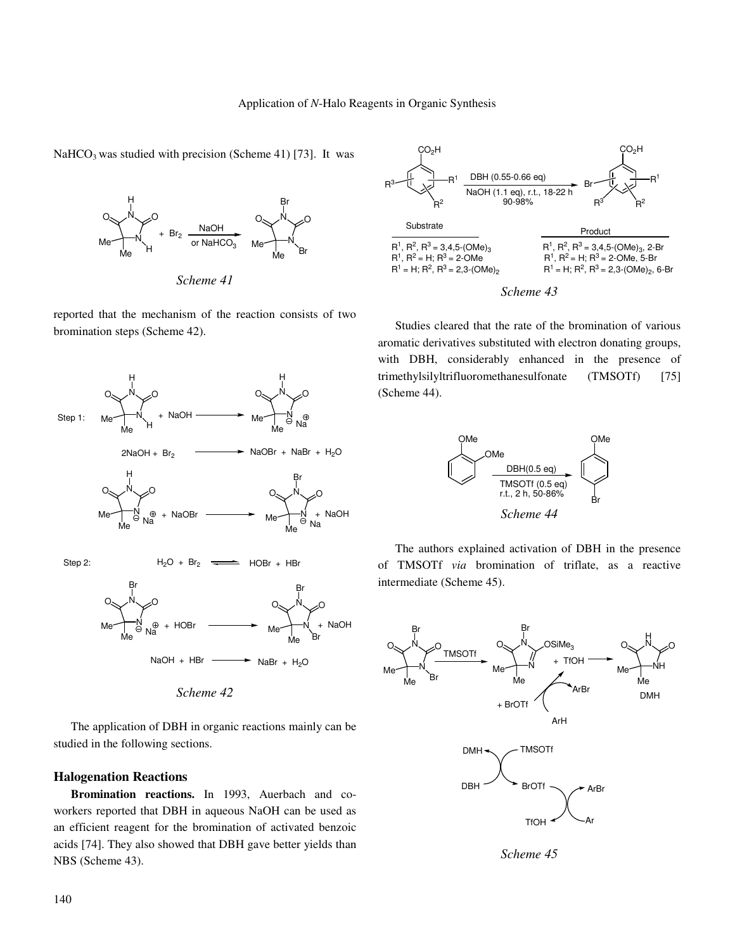Application of *N*-Halo Reagents in Organic Synthesis

 $NaHCO<sub>3</sub>$  was studied with precision (Scheme 41) [73]. It was



reported that the mechanism of the reaction consists of two bromination steps (Scheme 42).



 The application of DBH in organic reactions mainly can be studied in the following sections.

### **Halogenation Reactions**

 **Bromination reactions.** In 1993, Auerbach and coworkers reported that DBH in aqueous NaOH can be used as an efficient reagent for the bromination of activated benzoic acids [74]. They also showed that DBH gave better yields than NBS (Scheme 43).



*Scheme 43* 

 Studies cleared that the rate of the bromination of various aromatic derivatives substituted with electron donating groups, with DBH, considerably enhanced in the presence of trimethylsilyltrifluoromethanesulfonate (TMSOTf) [75] (Scheme 44).



 The authors explained activation of DBH in the presence of TMSOTf *via* bromination of triflate, as a reactive intermediate (Scheme 45).



*Scheme 45*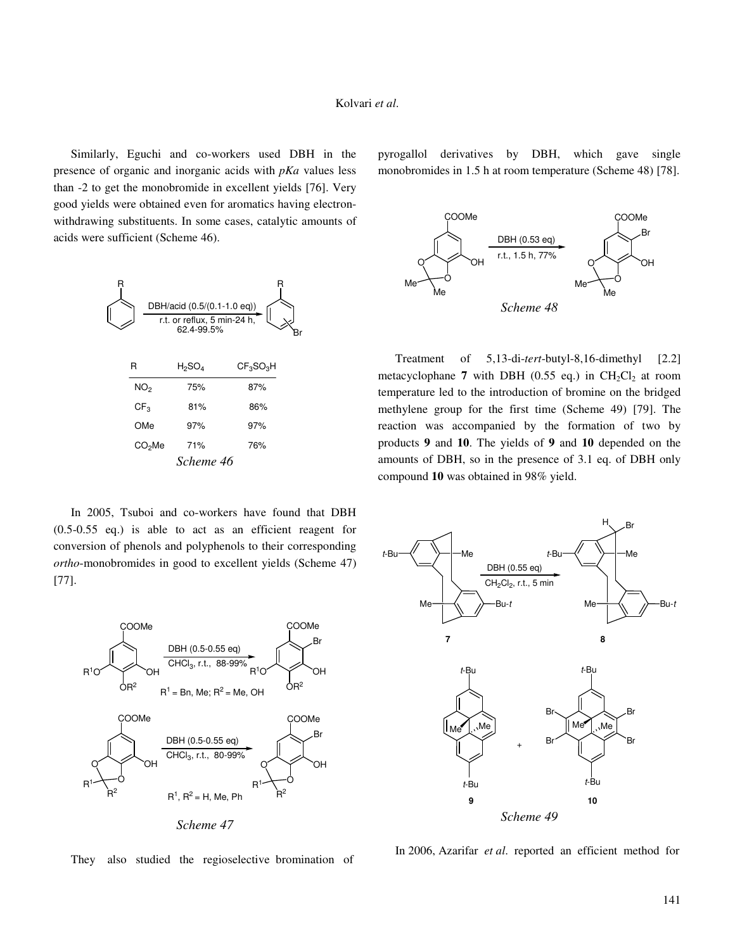Similarly, Eguchi and co-workers used DBH in the presence of organic and inorganic acids with *pKa* values less than -2 to get the monobromide in excellent yields [76]. Very good yields were obtained even for aromatics having electronwithdrawing substituents. In some cases, catalytic amounts of acids were sufficient (Scheme 46).



 In 2005, Tsuboi and co-workers have found that DBH (0.5-0.55 eq.) is able to act as an efficient reagent for conversion of phenols and polyphenols to their corresponding *ortho*-monobromides in good to excellent yields (Scheme 47) [77].



They also studied the regioselective bromination of

pyrogallol derivatives by DBH, which gave single monobromides in 1.5 h at room temperature (Scheme 48) [78].



 Treatment of 5,13-di-*tert*-butyl-8,16-dimethyl [2.2] metacyclophane **7** with DBH (0.55 eq.) in  $CH_2Cl_2$  at room temperature led to the introduction of bromine on the bridged methylene group for the first time (Scheme 49) [79]. The reaction was accompanied by the formation of two by products **9** and **10**. The yields of **9** and **10** depended on the amounts of DBH, so in the presence of 3.1 eq. of DBH only compound **10** was obtained in 98% yield.



In 2006, Azarifar *et al*. reported an efficient method for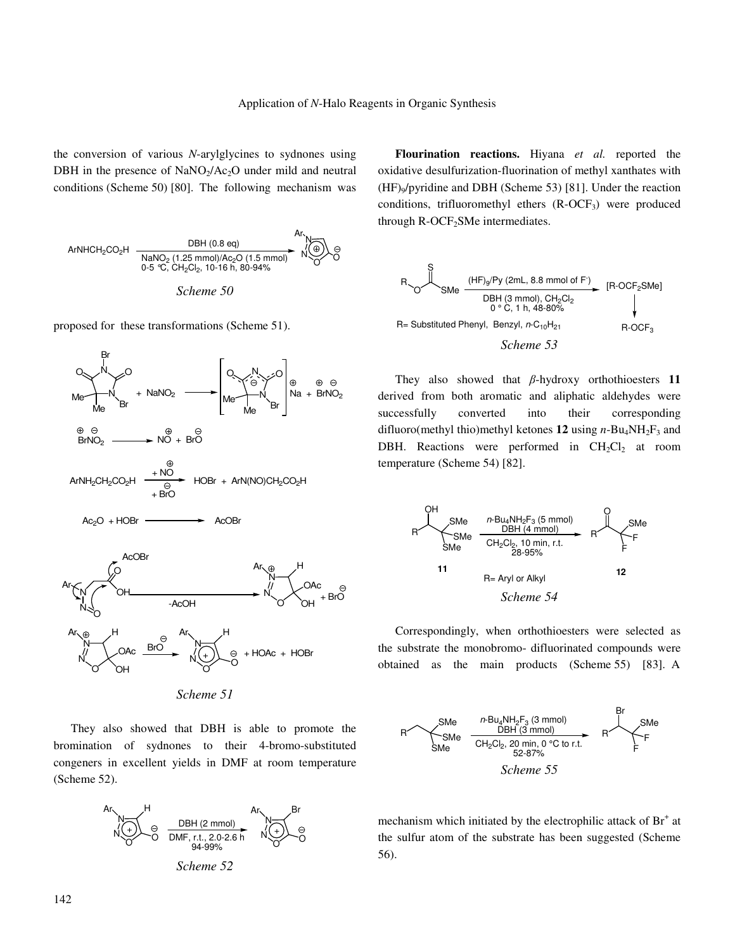the conversion of various *N*-arylglycines to sydnones using DBH in the presence of  $\text{NaNO}_2/\text{Ac}_2\text{O}$  under mild and neutral conditions (Scheme 50) [80]. The following mechanism was



proposed for these transformations (Scheme 51).



*Scheme 51* 

 They also showed that DBH is able to promote the bromination of sydnones to their 4-bromo-substituted congeners in excellent yields in DMF at room temperature (Scheme 52).



*Scheme 52* 

 **Flourination reactions.** Hiyana *et al.* reported the oxidative desulfurization-fluorination of methyl xanthates with (HF)9/pyridine and DBH (Scheme 53) [81]. Under the reaction conditions, trifluoromethyl ethers  $(R-OCF_3)$  were produced through  $R$ -OCF<sub>2</sub>SMe intermediates.



 They also showed that β-hydroxy orthothioesters **11** derived from both aromatic and aliphatic aldehydes were successfully converted into their corresponding difluoro(methyl thio)methyl ketones 12 using  $n$ -Bu<sub>4</sub>NH<sub>2</sub>F<sub>3</sub> and DBH. Reactions were performed in  $CH_2Cl_2$  at room temperature (Scheme 54) [82].



 Correspondingly, when orthothioesters were selected as the substrate the monobromo- difluorinated compounds were obtained as the main products (Scheme 55) [83]. A



mechanism which initiated by the electrophilic attack of  $Br<sup>+</sup>$  at the sulfur atom of the substrate has been suggested (Scheme 56).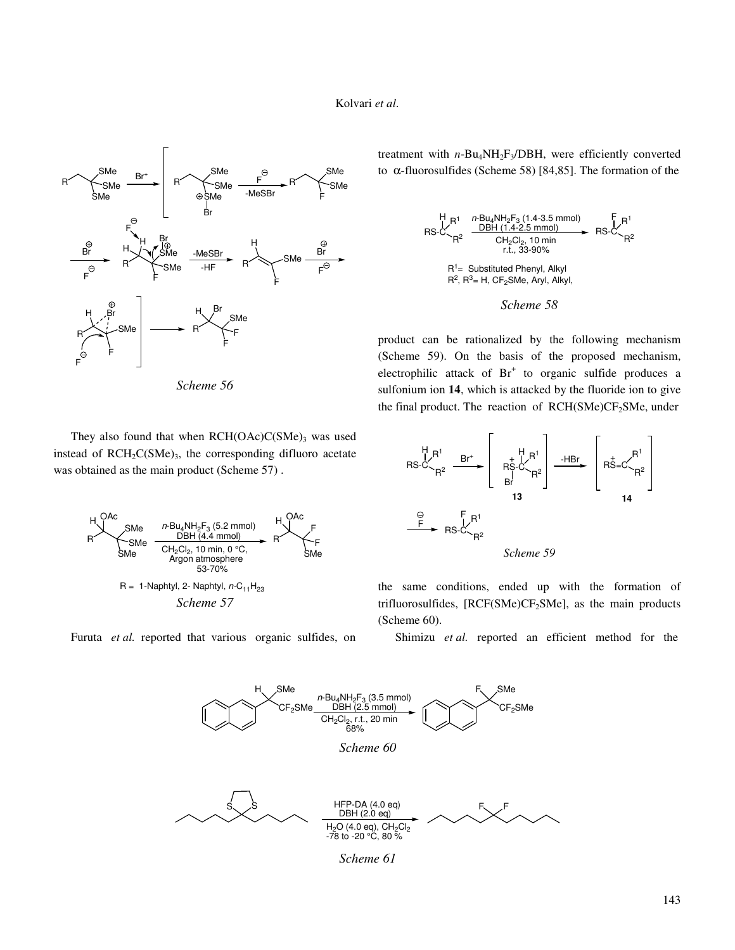

*Scheme 56* 

treatment with  $n-Bu_4NH_2F_3/DBH$ , were efficiently converted to α-fluorosulfides (Scheme 58) [84,85]. The formation of the

$$
R_{\text{B}}^{\text{H}} \xrightarrow{h\text{-Bu}_4\text{NH}_2F_3} \xleftarrow{2.5 \text{ mmol}} R_{\text{B}}^{\text{H}} \xrightarrow{R_{\text{B}}^{\text{H}}} R_{\text{B}}^{\text{H}}
$$
\n
$$
R_{\text{B}}^{\text{H}} \xrightarrow{\text{DBH (1.4-2.5 mmol)}} R_{\text{B}}^{\text{H}} \xrightarrow{\text{CH}_2\text{Cl}_2, 10 \text{ min}} R_{\text{B}}^{\text{H}}
$$
\n
$$
R_{\text{B}}^{\text{H}} \xrightarrow{\text{C}} R_{\text{B}}^{\text{H}}
$$
\n
$$
R_{\text{B}}^{\text{H}} \xrightarrow{\text{C}} R_{\text{B}}^{\text{H}}
$$
\n
$$
R_{\text{B}}^{\text{H}} \xrightarrow{\text{C}} R_{\text{B}}^{\text{H}}
$$
\n
$$
R_{\text{B}}^{\text{H}} \xrightarrow{\text{C}} R_{\text{B}}^{\text{H}}
$$
\n
$$
R_{\text{B}}^{\text{H}} \xrightarrow{\text{C}} R_{\text{B}}^{\text{H}}
$$
\n
$$
R_{\text{B}}^{\text{H}} \xrightarrow{\text{C}} R_{\text{B}}^{\text{H}}
$$
\n
$$
R_{\text{B}}^{\text{H}} \xrightarrow{\text{C}} R_{\text{B}}^{\text{H}}
$$
\n
$$
R_{\text{B}}^{\text{H}}
$$
\n
$$
R_{\text{B}}^{\text{H}}
$$
\n
$$
R_{\text{B}}^{\text{H}}
$$
\n
$$
R_{\text{B}}^{\text{H}}
$$
\n
$$
R_{\text{B}}^{\text{H}}
$$
\n
$$
R_{\text{B}}^{\text{H}}
$$
\n
$$
R_{\text{B}}^{\text{H}}
$$
\n
$$
R_{\text{B}}^{\text{H}}
$$
\n
$$
R_{\text{B}}^{\text{H}}
$$
\n
$$
R_{\text{B}}^{\text{H}}
$$
\n
$$
R_{\text{B}}^{\text{H}}
$$
\n
$$
R_{\text{B}}^{\text{H}}
$$
\n
$$
R_{\
$$

product can be rationalized by the following mechanism (Scheme 59). On the basis of the proposed mechanism, electrophilic attack of Br<sup>+</sup> to organic sulfide produces a sulfonium ion **14**, which is attacked by the fluoride ion to give the final product. The reaction of  $RCH(SMe)CF<sub>2</sub>SMe$ , under





Furuta *et al.* reported that various organic sulfides, on



the same conditions, ended up with the formation of trifluorosulfides,  $[RCF(SMe)CF<sub>2</sub>SMe]$ , as the main products (Scheme 60).

Shimizu *et al.* reported an efficient method for the



*Scheme 61*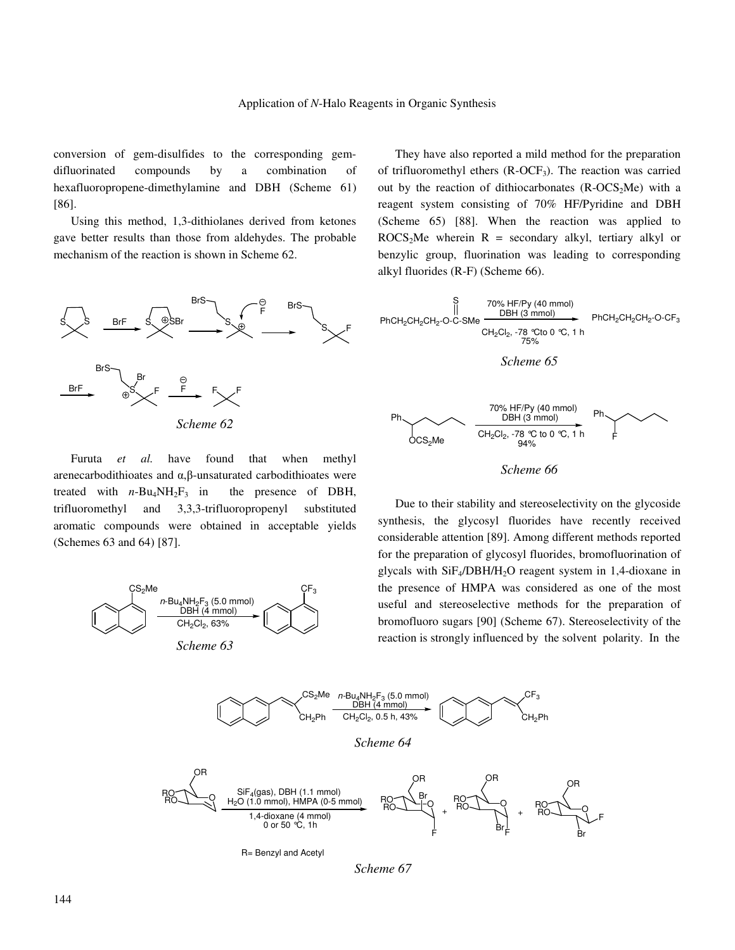conversion of gem-disulfides to the corresponding gemdifluorinated compounds by a combination of hexafluoropropene-dimethylamine and DBH (Scheme 61) [86].

 Using this method, 1,3-dithiolanes derived from ketones gave better results than those from aldehydes. The probable mechanism of the reaction is shown in Scheme 62.



 Furuta *et al.* have found that when methyl arenecarbodithioates and α,β-unsaturated carbodithioates were treated with  $n-Bu_4NH_2F_3$  in the presence of DBH, trifluoromethyl and 3,3,3-trifluoropropenyl substituted aromatic compounds were obtained in acceptable yields (Schemes 63 and 64) [87].



 They have also reported a mild method for the preparation of trifluoromethyl ethers (R-OCF3). The reaction was carried out by the reaction of dithiocarbonates  $(R-OCS<sub>2</sub>Me)$  with a reagent system consisting of 70% HF/Pyridine and DBH (Scheme 65) [88]. When the reaction was applied to  $ROCS<sub>2</sub>Me$  wherein  $R =$  secondary alkyl, tertiary alkyl or benzylic group, fluorination was leading to corresponding alkyl fluorides (R-F) (Scheme 66).





*Scheme 66* 

 Due to their stability and stereoselectivity on the glycoside synthesis, the glycosyl fluorides have recently received considerable attention [89]. Among different methods reported for the preparation of glycosyl fluorides, bromofluorination of glycals with  $SiF<sub>4</sub>/DBH/H<sub>2</sub>O$  reagent system in 1,4-dioxane in the presence of HMPA was considered as one of the most useful and stereoselective methods for the preparation of bromofluoro sugars [90] (Scheme 67). Stereoselectivity of the reaction is strongly influenced by the solvent polarity. In the



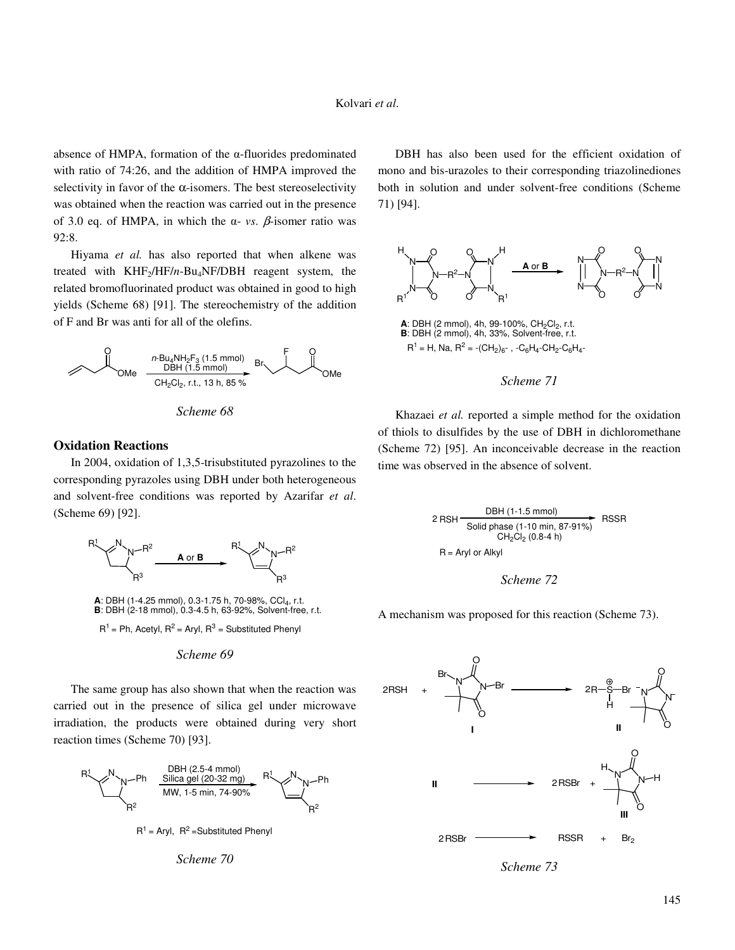absence of HMPA, formation of the α-fluorides predominated with ratio of 74:26, and the addition of HMPA improved the selectivity in favor of the  $\alpha$ -isomers. The best stereoselectivity was obtained when the reaction was carried out in the presence of 3.0 eq. of HMPA, in which the α- *vs*. β-isomer ratio was 92:8.

 Hiyama *et al.* has also reported that when alkene was treated with KHF2/HF/*n*-Bu4NF/DBH reagent system, the related bromofluorinated product was obtained in good to high yields (Scheme 68) [91]. The stereochemistry of the addition of F and Br was anti for all of the olefins.





### **Oxidation Reactions**

 In 2004, oxidation of 1,3,5-trisubstituted pyrazolines to the corresponding pyrazoles using DBH under both heterogeneous and solvent-free conditions was reported by Azarifar *et al*. (Scheme 69) [92].



*Scheme 69* 

 The same group has also shown that when the reaction was carried out in the presence of silica gel under microwave irradiation, the products were obtained during very short reaction times (Scheme 70) [93].



 $R^1$  = Aryl,  $R^2$  = Substituted Phenyl

*Scheme 70* 

 DBH has also been used for the efficient oxidation of mono and bis-urazoles to their corresponding triazolinediones both in solution and under solvent-free conditions (Scheme 71) [94].



**A**: DBH (2 mmol), 4h, 99-100%, CH<sub>2</sub>Cl<sub>2</sub>, r.t.<br>**B**: DBH (2 mmol), 4h, 33%, Solvent-free, r.t.  $R^1$  = H, Na,  $R^2$  =  $-(CH_2)_6$ <sup>-</sup>,  $-C_6H_4$ -CH<sub>2</sub>-C<sub>6</sub>H<sub>4</sub>-

### *Scheme 71*

 Khazaei *et al.* reported a simple method for the oxidation of thiols to disulfides by the use of DBH in dichloromethane (Scheme 72) [95]. An inconceivable decrease in the reaction time was observed in the absence of solvent.

2 RSH 
$$
\overline{\text{Solid phase (1-10 min, 87-91%)}}
$$
 RSSR

\n $\text{CH}_{2}\text{Cl}_{2}$  (0.8-4 h)

\nR = Aryl or Alkyl

*Scheme 72* 

A mechanism was proposed for this reaction (Scheme 73).



*Scheme 73*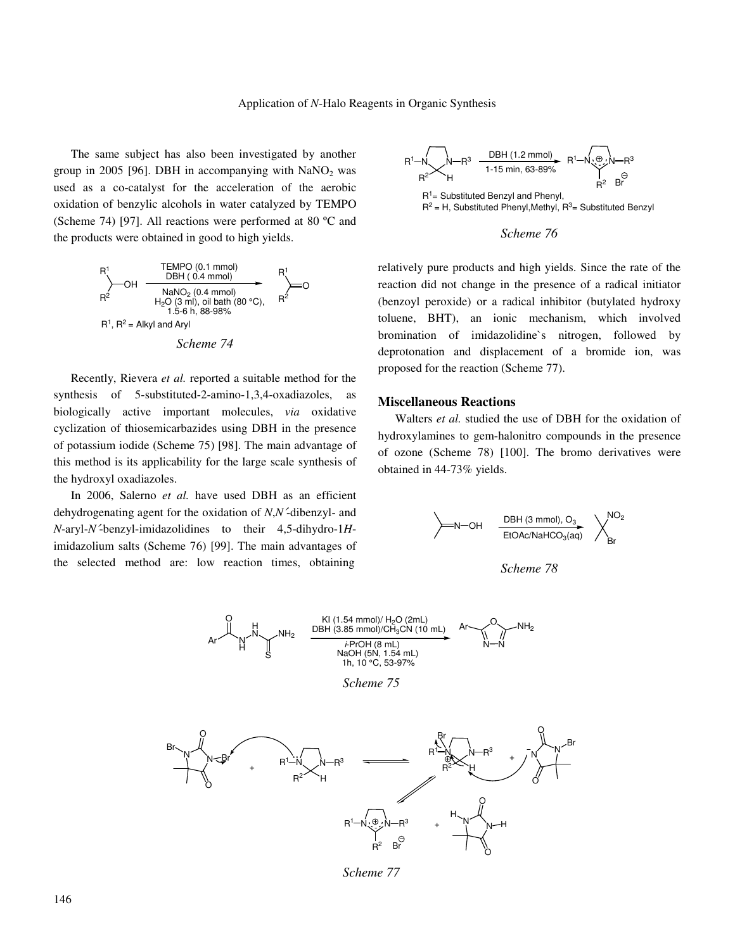The same subject has also been investigated by another group in 2005 [96]. DBH in accompanying with  $NaNO<sub>2</sub>$  was used as a co-catalyst for the acceleration of the aerobic oxidation of benzylic alcohols in water catalyzed by TEMPO (Scheme 74) [97]. All reactions were performed at 80 ºC and the products were obtained in good to high yields.



 Recently, Rievera *et al.* reported a suitable method for the synthesis of 5-substituted-2-amino-1,3,4-oxadiazoles, as biologically active important molecules, *via* oxidative cyclization of thiosemicarbazides using DBH in the presence of potassium iodide (Scheme 75) [98]. The main advantage of this method is its applicability for the large scale synthesis of the hydroxyl oxadiazoles.

 In 2006, Salerno *et al.* have used DBH as an efficient dehydrogenating agent for the oxidation of *N*,*N*′-dibenzyl- and *N*-aryl-*N*′-benzyl-imidazolidines to their 4,5-dihydro-1*H*imidazolium salts (Scheme 76) [99]. The main advantages of the selected method are: low reaction times, obtaining



*Scheme 76* 

relatively pure products and high yields. Since the rate of the reaction did not change in the presence of a radical initiator (benzoyl peroxide) or a radical inhibitor (butylated hydroxy toluene, BHT), an ionic mechanism, which involved bromination of imidazolidine`s nitrogen, followed by deprotonation and displacement of a bromide ion, was proposed for the reaction (Scheme 77).

### **Miscellaneous Reactions**

 Walters *et al.* studied the use of DBH for the oxidation of hydroxylamines to gem-halonitro compounds in the presence of ozone (Scheme 78) [100]. The bromo derivatives were obtained in 44-73% yields.







*Scheme 77*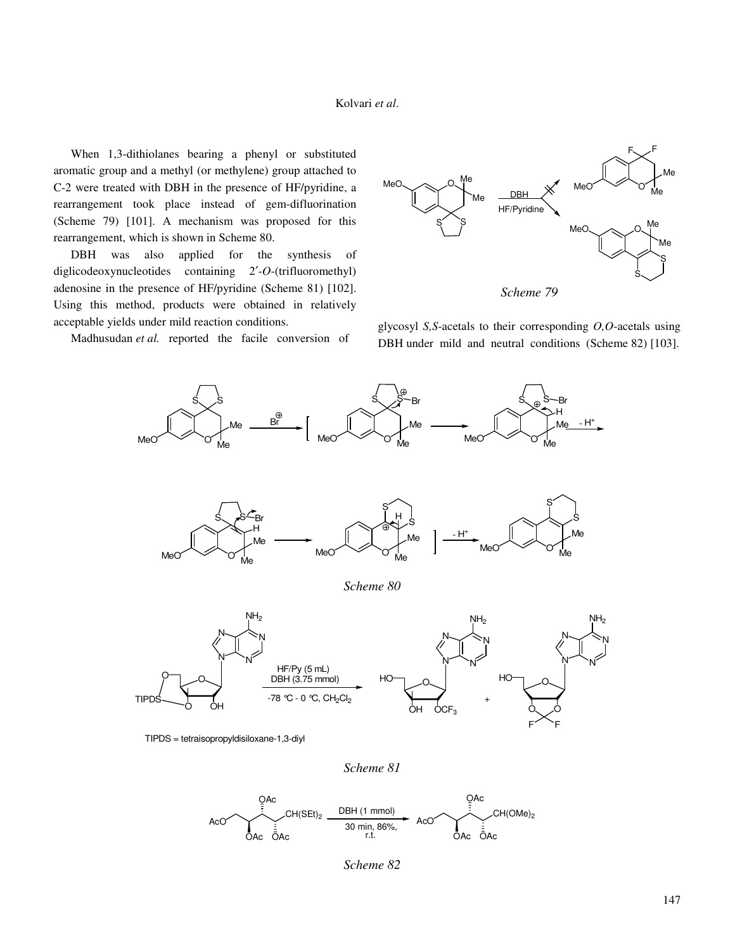When 1,3-dithiolanes bearing a phenyl or substituted aromatic group and a methyl (or methylene) group attached to C-2 were treated with DBH in the presence of HF/pyridine, a rearrangement took place instead of gem-difluorination (Scheme 79) [101]. A mechanism was proposed for this rearrangement, which is shown in Scheme 80.

 DBH was also applied for the synthesis of diglicodeoxynucleotides containing 2′-*O*-(trifluoromethyl) adenosine in the presence of HF/pyridine (Scheme 81) [102]. Using this method, products were obtained in relatively acceptable yields under mild reaction conditions.

Madhusudan *et al.* reported the facile conversion of



glycosyl *S,S*-acetals to their corresponding *O,O*-acetals using DBH under mild and neutral conditions (Scheme 82) [103].





*Scheme 80* 



TIPDS = tetraisopropyldisiloxane-1,3-diyl

*Scheme 81* 



*Scheme 82*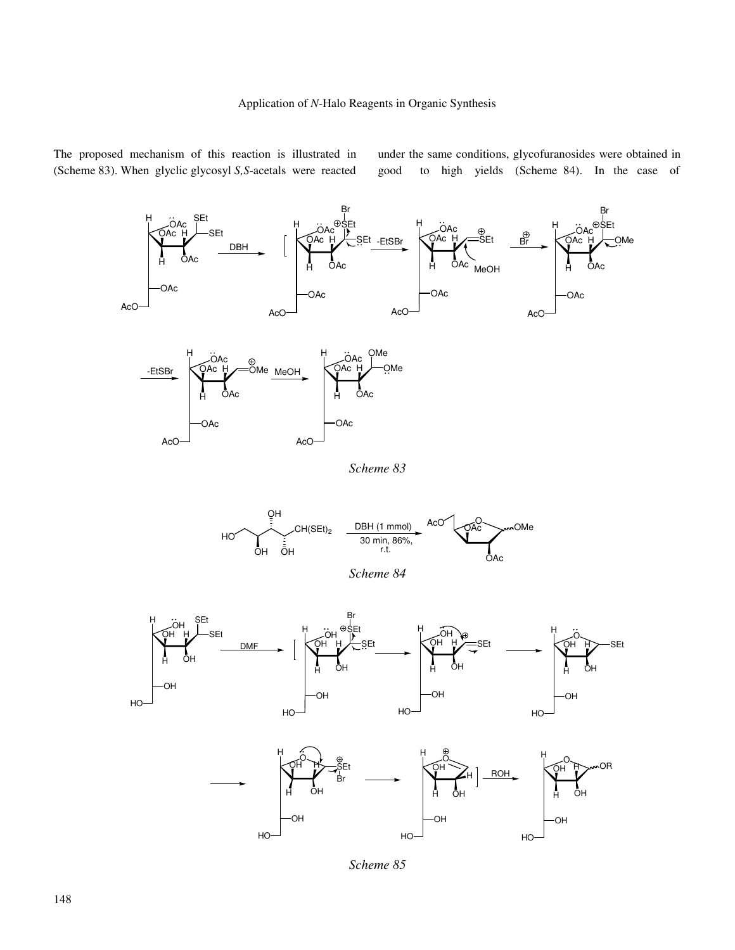The proposed mechanism of this reaction is illustrated in (Scheme 83). When glyclic glycosyl *S,S*-acetals were reacted

under the same conditions, glycofuranosides were obtained in good to high yields (Scheme 84). In the case of





*Scheme 83* 



*Scheme 84* 





*Scheme 85*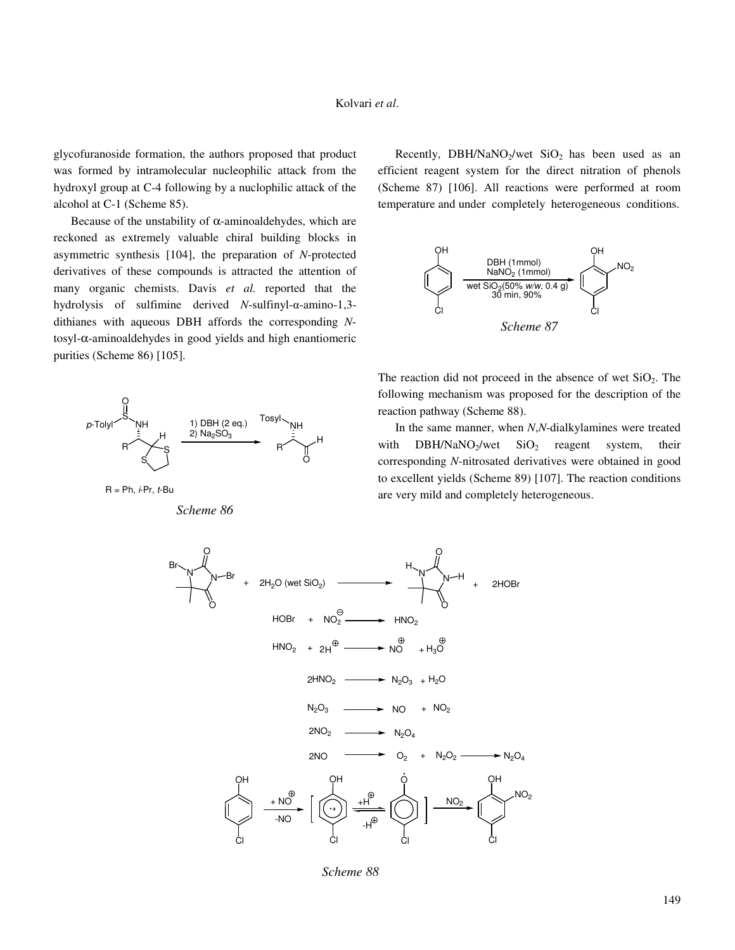glycofuranoside formation, the authors proposed that product was formed by intramolecular nucleophilic attack from the hydroxyl group at C-4 following by a nuclophilic attack of the alcohol at C-1 (Scheme 85).

Because of the unstability of  $\alpha$ -aminoaldehydes, which are reckoned as extremely valuable chiral building blocks in asymmetric synthesis [104], the preparation of *N*-protected derivatives of these compounds is attracted the attention of many organic chemists. Davis *et al.* reported that the hydrolysis of sulfimine derived *N*-sulfinyl-α-amino-1,3 dithianes with aqueous DBH affords the corresponding *N*tosyl-α-aminoaldehydes in good yields and high enantiomeric purities (Scheme 86) [105].



 $R = Ph$ , *i-Pr*, *t-Bu* 

*Scheme 86* 

Recently, DBH/NaNO<sub>2</sub>/wet  $SiO<sub>2</sub>$  has been used as an efficient reagent system for the direct nitration of phenols (Scheme 87) [106]. All reactions were performed at room temperature and under completely heterogeneous conditions.



The reaction did not proceed in the absence of wet  $SiO<sub>2</sub>$ . The following mechanism was proposed for the description of the reaction pathway (Scheme 88).

 In the same manner, when *N*,*N*-dialkylamines were treated with DBH/NaNO<sub>2</sub>/wet  $SiO<sub>2</sub>$  reagent system, their corresponding *N*-nitrosated derivatives were obtained in good to excellent yields (Scheme 89) [107]. The reaction conditions are very mild and completely heterogeneous.



*Scheme 88*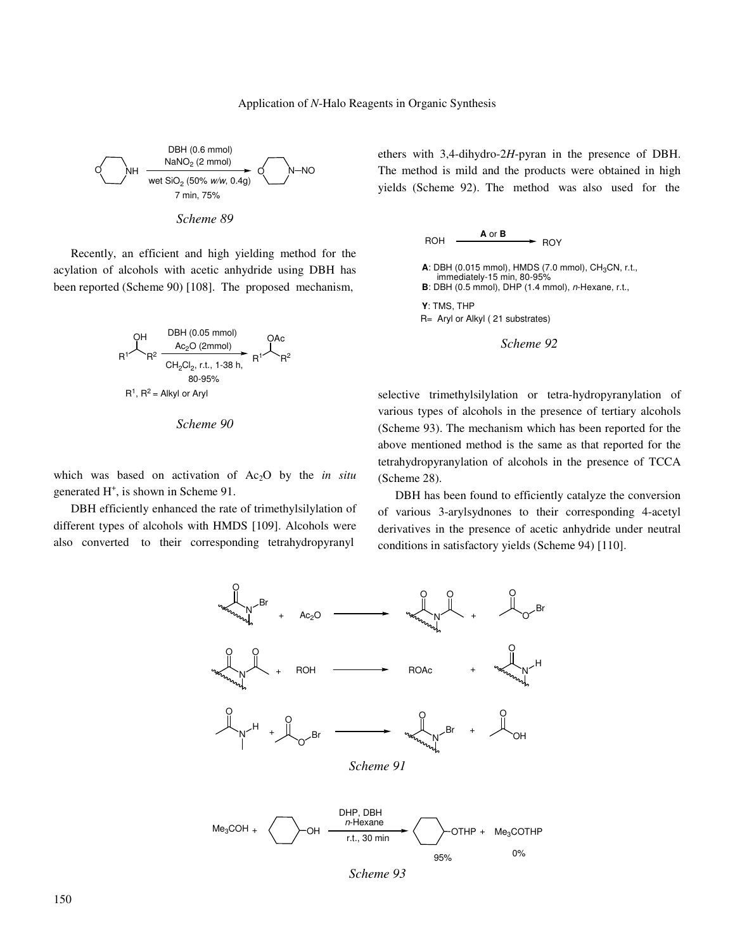

*Scheme 89* 

 Recently, an efficient and high yielding method for the acylation of alcohols with acetic anhydride using DBH has been reported (Scheme 90) [108]. The proposed mechanism,

R <sup>1</sup> R 2 OH R <sup>1</sup> R 2 OAc Ac2O (2mmol) CH2Cl<sup>2</sup> , r.t., 1-38 h, 80-95% DBH (0.05 mmol) R 1 , R2 = Alkyl or Aryl

*Scheme 90* 

which was based on activation of Ac2O by the *in situ*

 DBH efficiently enhanced the rate of trimethylsilylation of different types of alcohols with HMDS [109]. Alcohols were also converted to their corresponding tetrahydropyranyl

generated H<sup>+</sup>, is shown in Scheme 91.

ethers with 3,4-dihydro-2*H*-pyran in the presence of DBH. The method is mild and the products were obtained in high yields (Scheme 92). The method was also used for the



*Scheme 92* 

selective trimethylsilylation or tetra-hydropyranylation of various types of alcohols in the presence of tertiary alcohols (Scheme 93). The mechanism which has been reported for the above mentioned method is the same as that reported for the tetrahydropyranylation of alcohols in the presence of TCCA (Scheme 28).

 DBH has been found to efficiently catalyze the conversion of various 3-arylsydnones to their corresponding 4-acetyl derivatives in the presence of acetic anhydride under neutral conditions in satisfactory yields (Scheme 94) [110].





 $30 \text{ min}$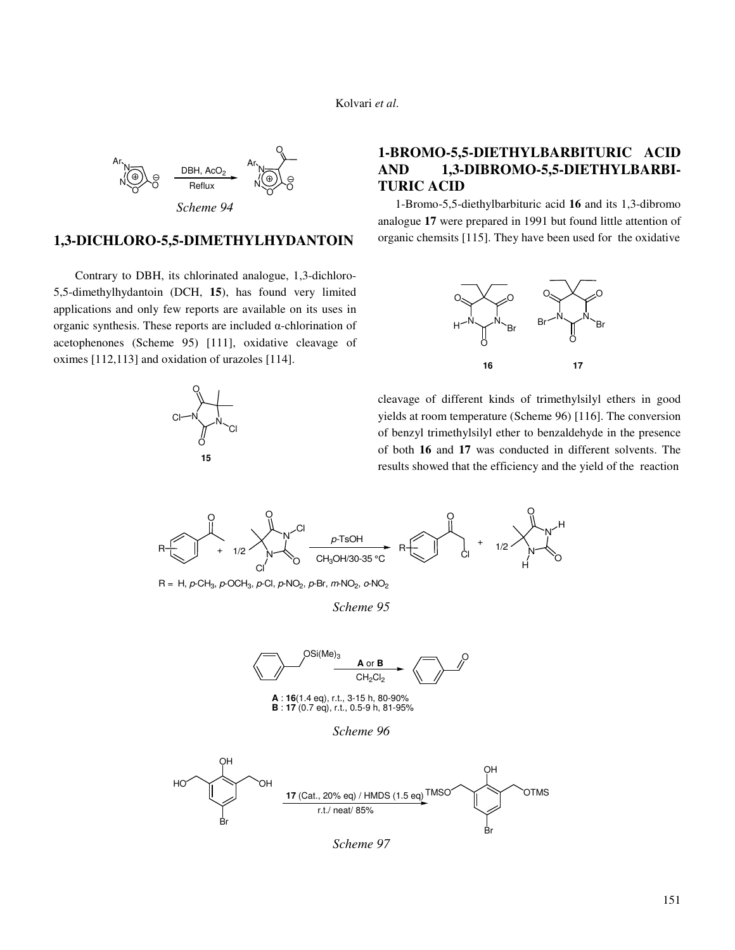

# **1,3-DICHLORO-5,5-DIMETHYLHYDANTOIN**

Contrary to DBH, its chlorinated analogue, 1,3-dichloro-5,5-dimethylhydantoin (DCH, **15**), has found very limited applications and only few reports are available on its uses in organic synthesis. These reports are included  $\alpha$ -chlorination of acetophenones (Scheme 95) [111], oxidative cleavage of oximes [112,113] and oxidation of urazoles [114].

#### N O N O Cl Cl **15**

Br

# **1-BROMO-5,5-DIETHYLBARBITURIC ACID AND 1,3-DIBROMO-5,5-DIETHYLBARBI-TURIC ACID**

 1-Bromo-5,5-diethylbarbituric acid **16** and its 1,3-dibromo analogue **17** were prepared in 1991 but found little attention of organic chemsits [115]. They have been used for the oxidative



cleavage of different kinds of trimethylsilyl ethers in good yields at room temperature (Scheme 96) [116]. The conversion of benzyl trimethylsilyl ether to benzaldehyde in the presence of both **16** and **17** was conducted in different solvents. The results showed that the efficiency and the yield of the reaction

Br



*Scheme 97*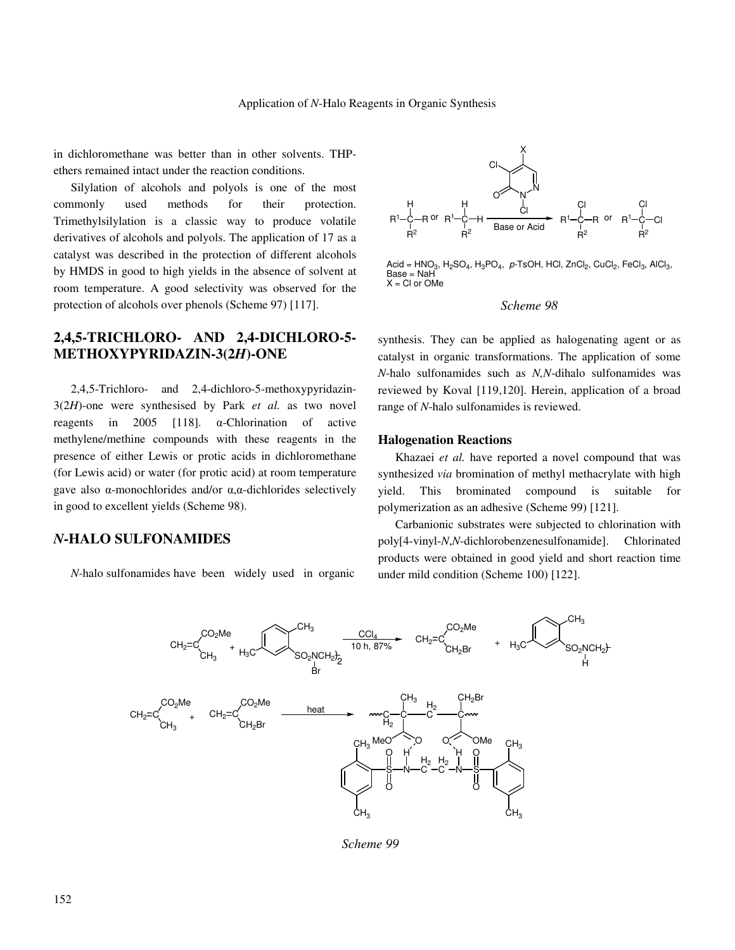in dichloromethane was better than in other solvents. THPethers remained intact under the reaction conditions.

 Silylation of alcohols and polyols is one of the most commonly used methods for their protection. Trimethylsilylation is a classic way to produce volatile derivatives of alcohols and polyols. The application of 17 as a catalyst was described in the protection of different alcohols by HMDS in good to high yields in the absence of solvent at room temperature. A good selectivity was observed for the protection of alcohols over phenols (Scheme 97) [117].

# **2,4,5-TRICHLORO- AND 2,4-DICHLORO-5- METHOXYPYRIDAZIN-3(2***H***)-ONE**

 2,4,5-Trichloro- and 2,4-dichloro-5-methoxypyridazin-3(2*H*)-one were synthesised by Park *et al.* as two novel reagents in 2005 [118]. α-Chlorination of active methylene/methine compounds with these reagents in the presence of either Lewis or protic acids in dichloromethane (for Lewis acid) or water (for protic acid) at room temperature gave also α-monochlorides and/or α,α-dichlorides selectively in good to excellent yields (Scheme 98).

### *N***-HALO SULFONAMIDES**

 *N-*halo sulfonamides have been widely used in organic



 $\textsf{Acid} = \textsf{HNO}_3, \textsf{H}_2\textsf{SO}_4, \textsf{H}_3\textsf{PO}_4,~\rho\textsf{-TsOH}, \textsf{HCl}, \textsf{ZnCl}_2, \textsf{CuCl}_2, \textsf{FeCl}_3, \textsf{AlCl}_3,$ Base = NaH  $X = Cl$  or OMe

### *Scheme 98*

synthesis. They can be applied as halogenating agent or as catalyst in organic transformations. The application of some *N*-halo sulfonamides such as *N,N*-dihalo sulfonamides was reviewed by Koval [119,120]. Herein, application of a broad range of *N*-halo sulfonamides is reviewed.

### **Halogenation Reactions**

 Khazaei *et al.* have reported a novel compound that was synthesized *via* bromination of methyl methacrylate with high yield. This brominated compound is suitable for polymerization as an adhesive (Scheme 99) [121].

 Carbanionic substrates were subjected to chlorination with poly[4-vinyl-*N*,*N*-dichlorobenzenesulfonamide]. Chlorinated products were obtained in good yield and short reaction time under mild condition (Scheme 100) [122].



*Scheme 99*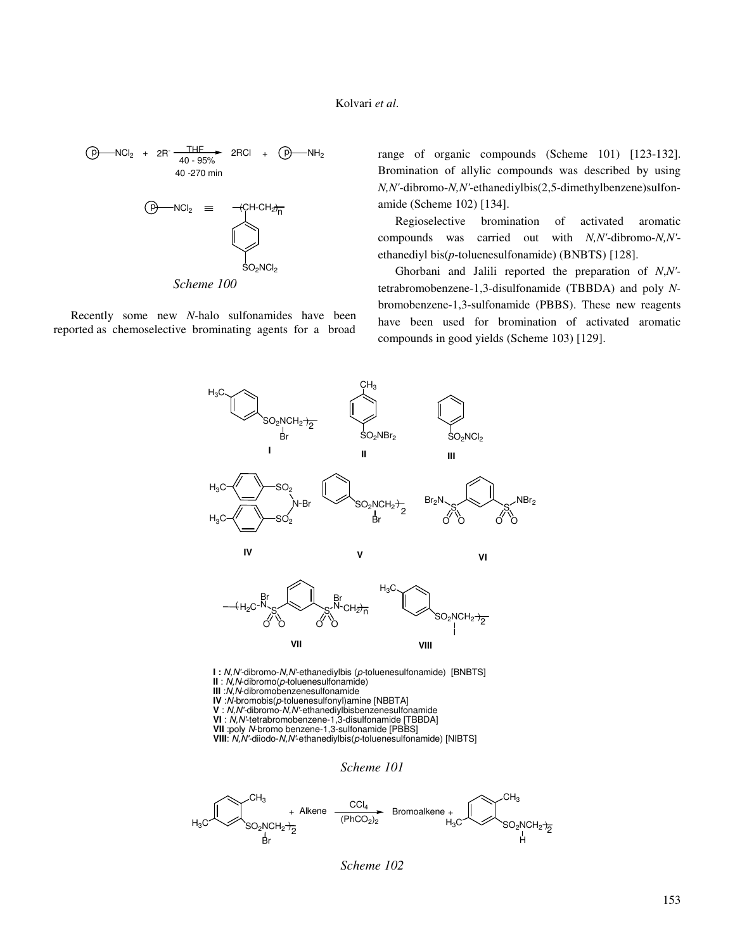

 Recently some new *N-*halo sulfonamides have been reported as chemoselective brominating agents for a broad range of organic compounds (Scheme 101) [123-132]. Bromination of allylic compounds was described by using *N,N'*-dibromo-*N,N'*-ethanediylbis(2,5-dimethylbenzene)sulfonamide (Scheme 102) [134].

 Regioselective bromination of activated aromatic compounds was carried out with *N,N'*-dibromo-*N,N'* ethanediyl bis(*p*-toluenesulfonamide) (BNBTS) [128].

 Ghorbani and Jalili reported the preparation of *N*,*N'* tetrabromobenzene-1,3-disulfonamide (TBBDA) and poly *N*bromobenzene-1,3-sulfonamide (PBBS). These new reagents have been used for bromination of activated aromatic compounds in good yields (Scheme 103) [129].





*Scheme 102*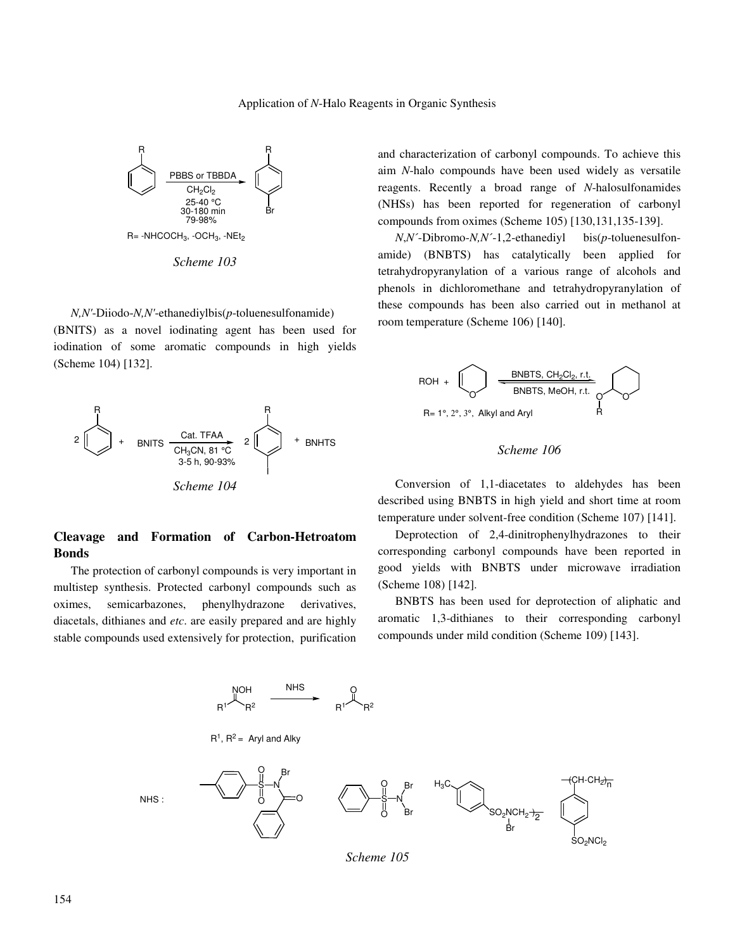

*Scheme 103* 

 *N,N'*-Diiodo-*N,N'*-ethanediylbis(*p*-toluenesulfonamide) (BNITS) as a novel iodinating agent has been used for iodination of some aromatic compounds in high yields (Scheme 104) [132].



# **Cleavage and Formation of Carbon-Hetroatom Bonds**

 The protection of carbonyl compounds is very important in multistep synthesis. Protected carbonyl compounds such as oximes, semicarbazones, phenylhydrazone derivatives, diacetals, dithianes and *etc*. are easily prepared and are highly stable compounds used extensively for protection, purification and characterization of carbonyl compounds. To achieve this aim *N*-halo compounds have been used widely as versatile reagents. Recently a broad range of *N*-halosulfonamides (NHSs) has been reported for regeneration of carbonyl compounds from oximes (Scheme 105) [130,131,135-139].

 *N*,*N*´-Dibromo-*N,N*´-1,2-ethanediyl bis(*p*-toluenesulfonamide) (BNBTS) has catalytically been applied for tetrahydropyranylation of a various range of alcohols and phenols in dichloromethane and tetrahydropyranylation of these compounds has been also carried out in methanol at room temperature (Scheme 106) [140].



### *Scheme 106*

 Conversion of 1,1-diacetates to aldehydes has been described using BNBTS in high yield and short time at room temperature under solvent-free condition (Scheme 107) [141].

 Deprotection of 2,4-dinitrophenylhydrazones to their corresponding carbonyl compounds have been reported in good yields with BNBTS under microwave irradiation (Scheme 108) [142].

 BNBTS has been used for deprotection of aliphatic and aromatic 1,3-dithianes to their corresponding carbonyl compounds under mild condition (Scheme 109) [143].



*Scheme 105*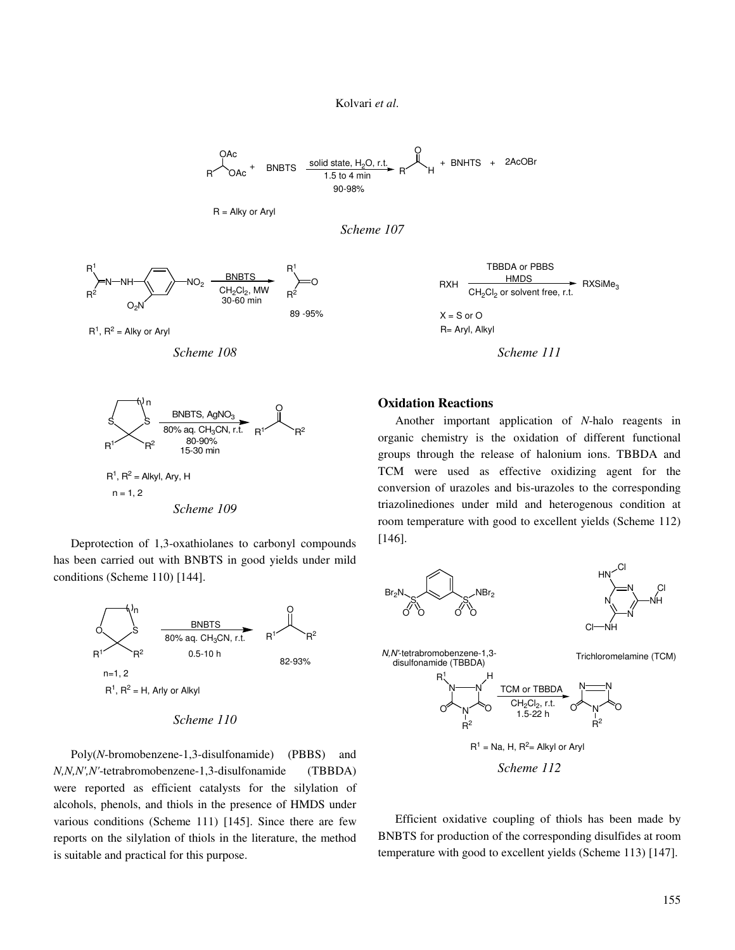R OAc OAc + BNBTS  $\xrightarrow{\text{solid state, H}_2\text{O, r.t.}} R$  + BNHTS + 2AcOBr R H O 1.5 to 4 min 90-98%

$$
R = \mathsf{Alky} \text{ or } \mathsf{Aryl}
$$

*Scheme 107*



 $R^1$ ,  $R^2$  = Alky or Aryl

*Scheme 108*



 Deprotection of 1,3-oxathiolanes to carbonyl compounds has been carried out with BNBTS in good yields under mild conditions (Scheme 110) [144].



# *Scheme 110*

 $RXH$   $\overline{CH_2Cl_2}$  or solvent free, r.t. **HMDS** TBBDA or PBBS  $\mathsf{CH_2Cl_2}$  $X = S$  or  $O$ R= Aryl, Alkyl



### **Oxidation Reactions**

 Another important application of *N*-halo reagents in organic chemistry is the oxidation of different functional groups through the release of halonium ions. TBBDA and TCM were used as effective oxidizing agent for the conversion of urazoles and bis-urazoles to the corresponding triazolinediones under mild and heterogenous condition at room temperature with good to excellent yields (Scheme 112) [146].



 Poly(*N*-bromobenzene-1,3-disulfonamide) (PBBS) and *N,N,N',N'*-tetrabromobenzene-1,3-disulfonamide (TBBDA) were reported as efficient catalysts for the silylation of alcohols, phenols, and thiols in the presence of HMDS under various conditions (Scheme 111) [145]. Since there are few reports on the silylation of thiols in the literature, the method is suitable and practical for this purpose.

 Efficient oxidative coupling of thiols has been made by BNBTS for production of the corresponding disulfides at room temperature with good to excellent yields (Scheme 113) [147].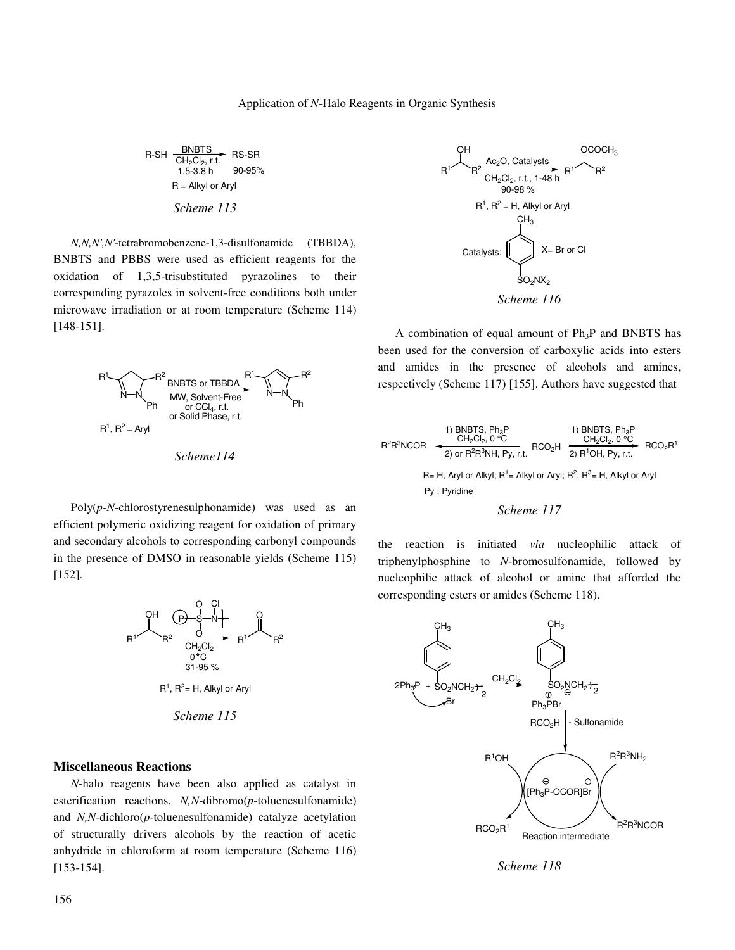$R-SH = \frac{BNBTS}{S}$  $\mathsf{CH_2Cl_2},$  r.t. 1.5-3.8 h 90-95% RS-SR R = Alkyl or Aryl *Scheme 113* 

 *N,N,N',N'*-tetrabromobenzene-1,3-disulfonamide (TBBDA), BNBTS and PBBS were used as efficient reagents for the oxidation of 1,3,5-trisubstituted pyrazolines to their corresponding pyrazoles in solvent-free conditions both under microwave irradiation or at room temperature (Scheme 114) [148-151].



*Scheme114* 

 Poly(*p*-*N*-chlorostyrenesulphonamide) was used as an efficient polymeric oxidizing reagent for oxidation of primary and secondary alcohols to corresponding carbonyl compounds in the presence of DMSO in reasonable yields (Scheme 115) [152].



### **Miscellaneous Reactions**

 *N*-halo reagents have been also applied as catalyst in esterification reactions. *N,N*-dibromo(*p*-toluenesulfonamide) and *N,N*-dichloro(*p*-toluenesulfonamide) catalyze acetylation of structurally drivers alcohols by the reaction of acetic anhydride in chloroform at room temperature (Scheme 116) [153-154].



A combination of equal amount of  $Ph_3P$  and BNBTS has been used for the conversion of carboxylic acids into esters and amides in the presence of alcohols and amines, respectively (Scheme 117) [155]. Authors have suggested that

1) BNETS, Ph<sub>3</sub>P  
\n
$$
R^{2}R^{3}NCOR
$$
\n
$$
CH_{2}Cl_{2}, 0\ ^{\circ}C
$$
\n2) or R<sup>2</sup>R<sup>3</sup>NH, Py, r.t.  
\n
$$
R_{2}Cl_{2}, 0\ ^{\circ}C
$$
\n
$$
R_{3}Cl_{2}, 0\ ^{\circ}C
$$
\n3) R<sup>1</sup>DH, Py, r.t.  
\n
$$
R_{4}Cl_{2}, 0\ ^{\circ}C
$$
\n
$$
R_{5}Cl_{2}, 0\ ^{\circ}C
$$
\n
$$
R_{6}Cl_{2}, 0\ ^{\circ}C
$$
\n
$$
R_{7}Cl_{2}, 0\ ^{\circ}C
$$
\n
$$
R_{8}Cl_{2}, 0\ ^{\circ}C
$$
\n
$$
R_{9}Cl_{2}, 0\ ^{\circ}C
$$
\n
$$
R_{1}Cl_{2}, 0\ ^{\circ}C
$$
\n
$$
R_{1}Cl_{2}, 0\ ^{\circ}C
$$
\n
$$
R_{1}Cl_{2}, 0\ ^{\circ}C
$$
\n
$$
R_{2}Cl_{2}, 0\ ^{\circ}C
$$
\n
$$
R_{3}Cl_{2}, 0\ ^{\circ}C
$$
\n
$$
R_{4}Cl_{2}, 0\ ^{\circ}C
$$
\n
$$
R_{5}Cl_{2}, 0\ ^{\circ}C
$$
\n
$$
R_{6}Cl_{2}, 0\ ^{\circ}C
$$
\n
$$
R_{7}Cl_{2}, 0\ ^{\circ}C
$$
\n
$$
R_{8}Cl_{2}, 0\ ^{\circ}C
$$
\n
$$
R_{9}Cl_{2}, 0\ ^{\circ}C
$$
\n
$$
R_{1}Cl_{2}, 0\ ^{\circ}C
$$
\n
$$
R_{1}Cl_{2}, 0\ ^{\circ}C
$$
\n
$$
R_{1}Cl_{2}, 0\ ^{\circ}C
$$
\n
$$
R_{1}Cl_{2}, 0\ ^{\circ}C
$$
\n
$$
R_{1}Cl_{2}, 0\ ^{\circ}C
$$
\n
$$
R_{1}Cl_{2}, 0\ ^{\circ}C
$$
\n $$ 

*Scheme 117* 

the reaction is initiated *via* nucleophilic attack of triphenylphosphine to *N*-bromosulfonamide, followed by nucleophilic attack of alcohol or amine that afforded the corresponding esters or amides (Scheme 118).



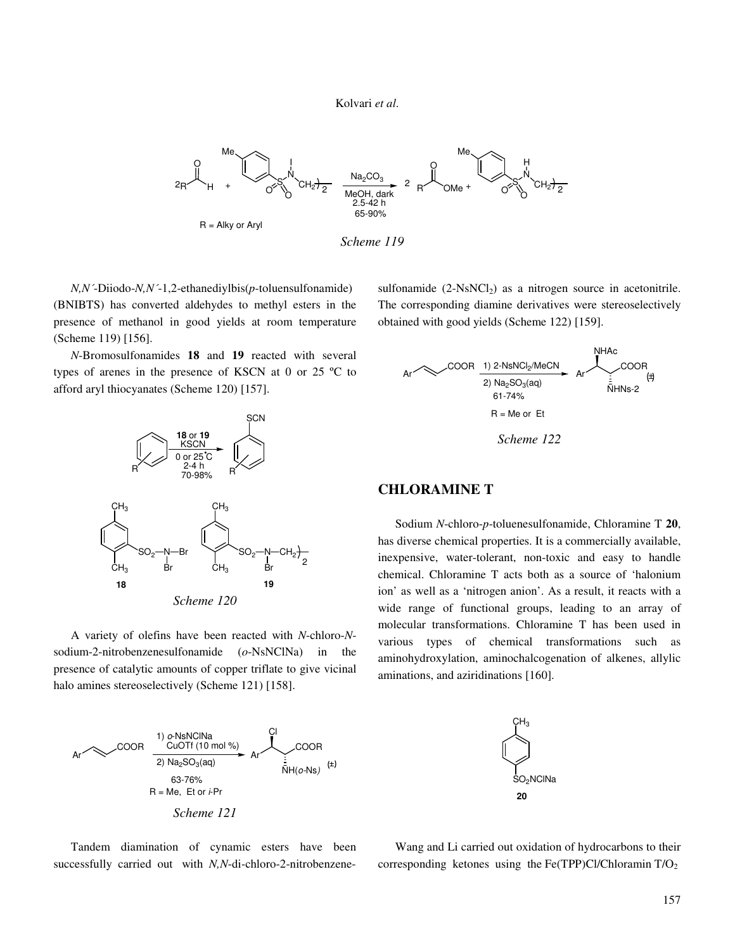

*Scheme 119* 

 *N,N´*-Diiodo-*N,N´*-1,2-ethanediylbis(*p*-toluensulfonamide) (BNIBTS) has converted aldehydes to methyl esters in the presence of methanol in good yields at room temperature (Scheme 119) [156].

 *N*-Bromosulfonamides **18** and **19** reacted with several types of arenes in the presence of KSCN at 0 or 25 ºC to afford aryl thiocyanates (Scheme 120) [157].



 A variety of olefins have been reacted with *N*-chloro-*N*sodium-2-nitrobenzenesulfonamide (*o*-NsNClNa) in the presence of catalytic amounts of copper triflate to give vicinal halo amines stereoselectively (Scheme 121) [158].



 Tandem diamination of cynamic esters have been successfully carried out with *N,N*-di-chloro-2-nitrobenzenesulfonamide  $(2\text{-}NsNCl_2)$  as a nitrogen source in acetonitrile. The corresponding diamine derivatives were stereoselectively obtained with good yields (Scheme 122) [159].



# **CHLORAMINE T**

 Sodium *N*-chloro-*p*-toluenesulfonamide, Chloramine T **20**, has diverse chemical properties. It is a commercially available, inexpensive, water-tolerant, non-toxic and easy to handle chemical. Chloramine T acts both as a source of 'halonium ion' as well as a 'nitrogen anion'. As a result, it reacts with a wide range of functional groups, leading to an array of molecular transformations. Chloramine T has been used in various types of chemical transformations such as aminohydroxylation, aminochalcogenation of alkenes, allylic aminations, and aziridinations [160].



 Wang and Li carried out oxidation of hydrocarbons to their corresponding ketones using the Fe(TPP)Cl/Chloramin  $T/O<sub>2</sub>$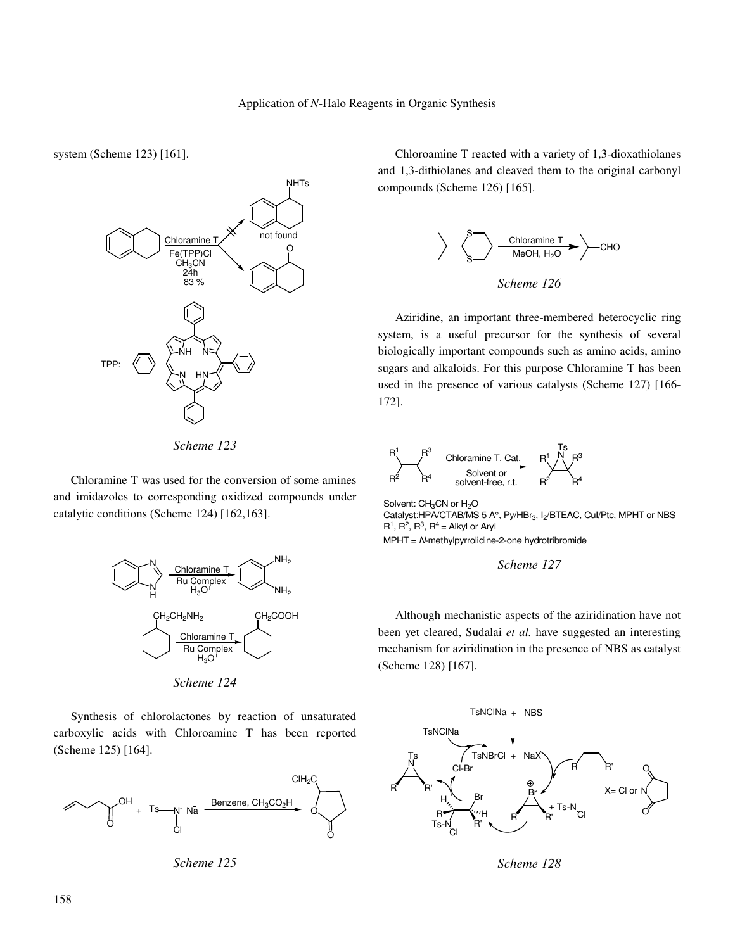system (Scheme 123) [161].



*Scheme 123* 

 Chloramine T was used for the conversion of some amines and imidazoles to corresponding oxidized compounds under catalytic conditions (Scheme 124) [162,163].



*Scheme 124* 

 Synthesis of chlorolactones by reaction of unsaturated carboxylic acids with Chloroamine T has been reported (Scheme 125) [164].



*Scheme 125* 

 Chloroamine T reacted with a variety of 1,3-dioxathiolanes and 1,3-dithiolanes and cleaved them to the original carbonyl compounds (Scheme 126) [165].



 Aziridine, an important three-membered heterocyclic ring system, is a useful precursor for the synthesis of several biologically important compounds such as amino acids, amino sugars and alkaloids. For this purpose Chloramine T has been used in the presence of various catalysts (Scheme 127) [166- 172].



Solvent: CH<sub>3</sub>CN or H<sub>2</sub>O Catalyst:HPA/CTAB/MS 5 A°, Py/HBr<sub>3</sub>, I<sub>2</sub>/BTEAC, CuI/Ptc, MPHT or NBS  $R^1$ ,  $R^2$ ,  $R^3$ ,  $R^4$  = Alkyl or Aryl MPHT = N-methylpyrrolidine-2-one hydrotribromide

#### *Scheme 127*

 Although mechanistic aspects of the aziridination have not been yet cleared, Sudalai *et al.* have suggested an interesting mechanism for aziridination in the presence of NBS as catalyst (Scheme 128) [167].



*Scheme 128*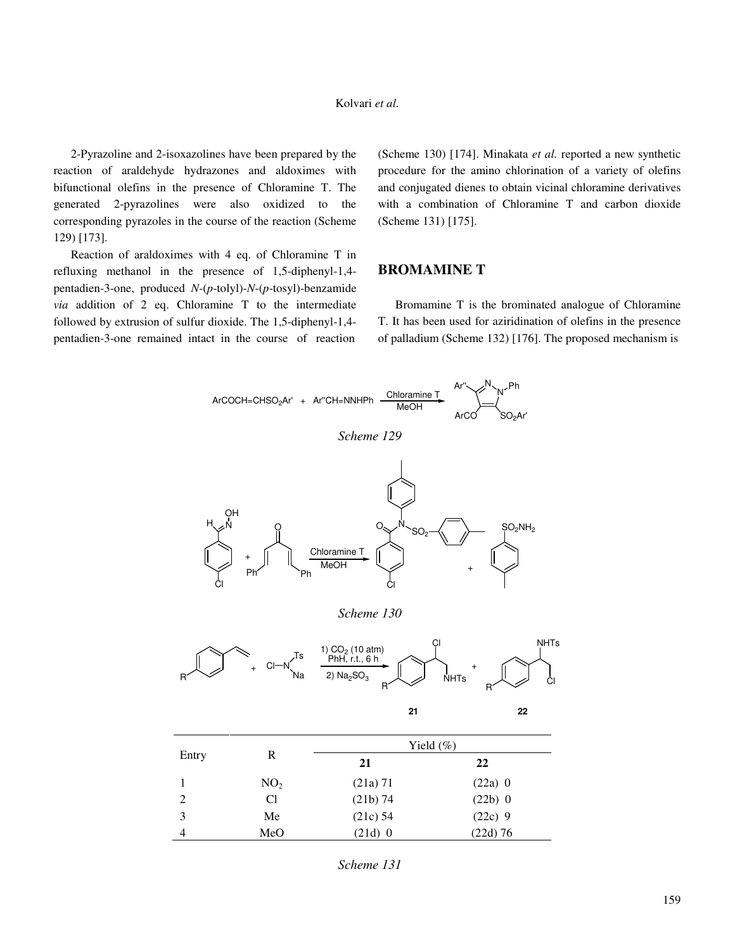2-Pyrazoline and 2-isoxazolines have been prepared by the reaction of araldehyde hydrazones and aldoximes with bifunctional olefins in the presence of Chloramine T. The generated 2-pyrazolines were also oxidized to the corresponding pyrazoles in the course of the reaction (Scheme 129) [173].

Reaction of araldoximes with 4 eq. of Chloramine T in refluxing methanol in the presence of 1,5-diphenyl-1,4 pentadien-3-one, produced *N*-(*p*-tolyl)-*N*-(*p*-tosyl)-benzamide *via* addition of 2 eq. Chloramine T to the intermediate followed by extrusion of sulfur dioxide. The 1,5-diphenyl-1,4 pentadien-3-one remained intact in the course of reaction (Scheme 130) [174]. Minakata *et al.* reported a new synthetic procedure for the amino chlorination of a variety of olefins and conjugated dienes to obtain vicinal chloramine derivatives with a combination of Chloramine T and carbon dioxide (Scheme 131) [175].

### **BROMAMINE T**

 Bromamine T is the brominated analogue of Chloramine T. It has been used for aziridination of olefins in the presence of palladium (Scheme 132) [176]. The proposed mechanism is



*Scheme 131*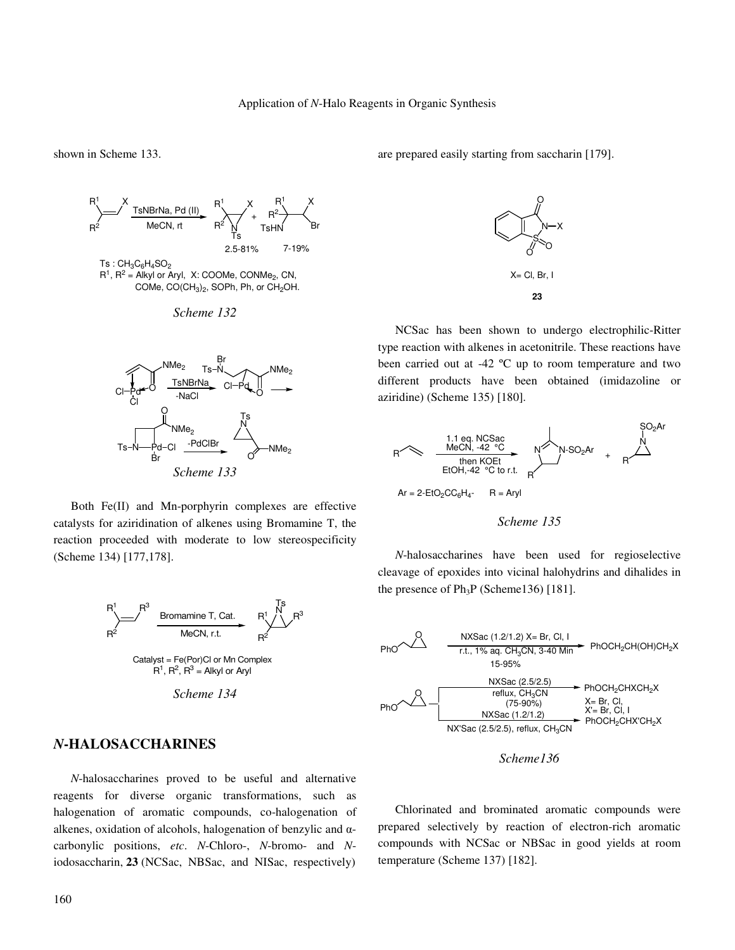### shown in Scheme 133.





 Both Fe(ІІ) and Mn-porphyrin complexes are effective catalysts for aziridination of alkenes using Bromamine T, the reaction proceeded with moderate to low stereospecificity (Scheme 134) [177,178].



### *N***-HALOSACCHARINES**

 *N*-halosaccharines proved to be useful and alternative reagents for diverse organic transformations, such as halogenation of aromatic compounds, co-halogenation of alkenes, oxidation of alcohols, halogenation of benzylic and αcarbonylic positions, *etc*. *N*-Chloro-, *N*-bromo- and *N*iodosaccharin, **23** (NCSac, NBSac, and NISac, respectively)

are prepared easily starting from saccharin [179].



 NCSac has been shown to undergo electrophilic-Ritter type reaction with alkenes in acetonitrile. These reactions have been carried out at -42 ºC up to room temperature and two different products have been obtained (imidazoline or aziridine) (Scheme 135) [180].



*Scheme 135* 

 *N*-halosaccharines have been used for regioselective cleavage of epoxides into vicinal halohydrins and dihalides in the presence of  $Ph_3P$  (Scheme136) [181].



### *Scheme136*

 Chlorinated and brominated aromatic compounds were prepared selectively by reaction of electron-rich aromatic compounds with NCSac or NBSac in good yields at room temperature (Scheme 137) [182].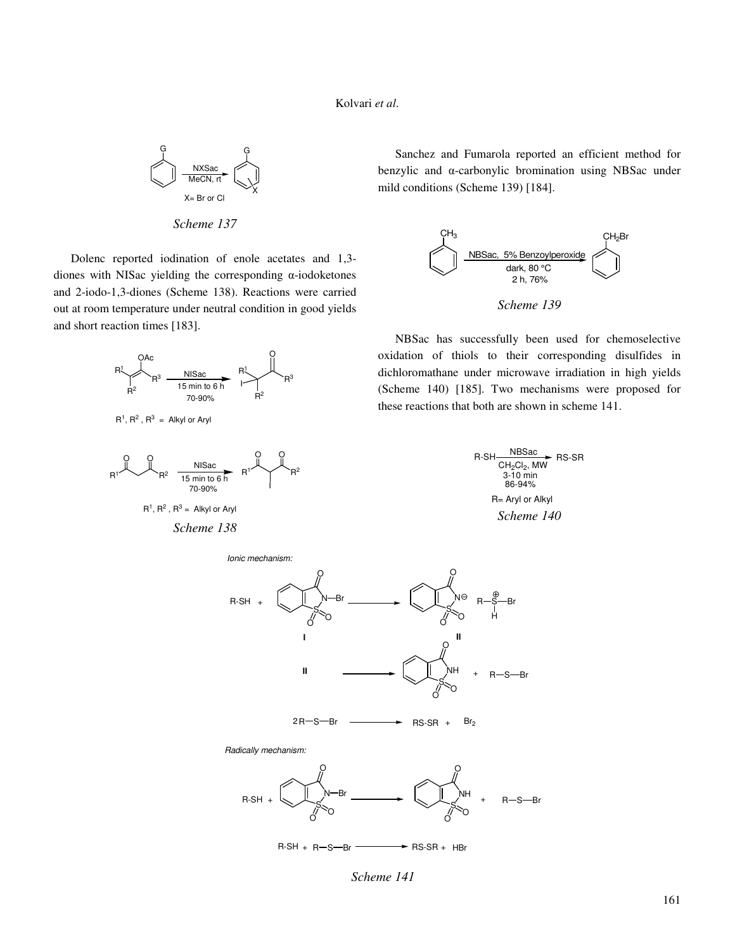

*Scheme 137* 

 Dolenc reported iodination of enole acetates and 1,3 diones with NISac yielding the corresponding  $\alpha$ -iodoketones and 2-iodo-1,3-diones (Scheme 138). Reactions were carried out at room temperature under neutral condition in good yields and short reaction times [183].



 $R^1$ ,  $R^2$  ,  $R^3$  = Alkyl or Aryl



$$
R^1, R^2, R^3 = \text{ Alkyl or AryI}
$$

*Scheme 138* 

 Sanchez and Fumarola reported an efficient method for benzylic and α-carbonylic bromination using NBSac under mild conditions (Scheme 139) [184].



*Scheme 139* 

 NBSac has successfully been used for chemoselective oxidation of thiols to their corresponding disulfides in dichloromathane under microwave irradiation in high yields (Scheme 140) [185]. Two mechanisms were proposed for these reactions that both are shown in scheme 141.





*Scheme 141*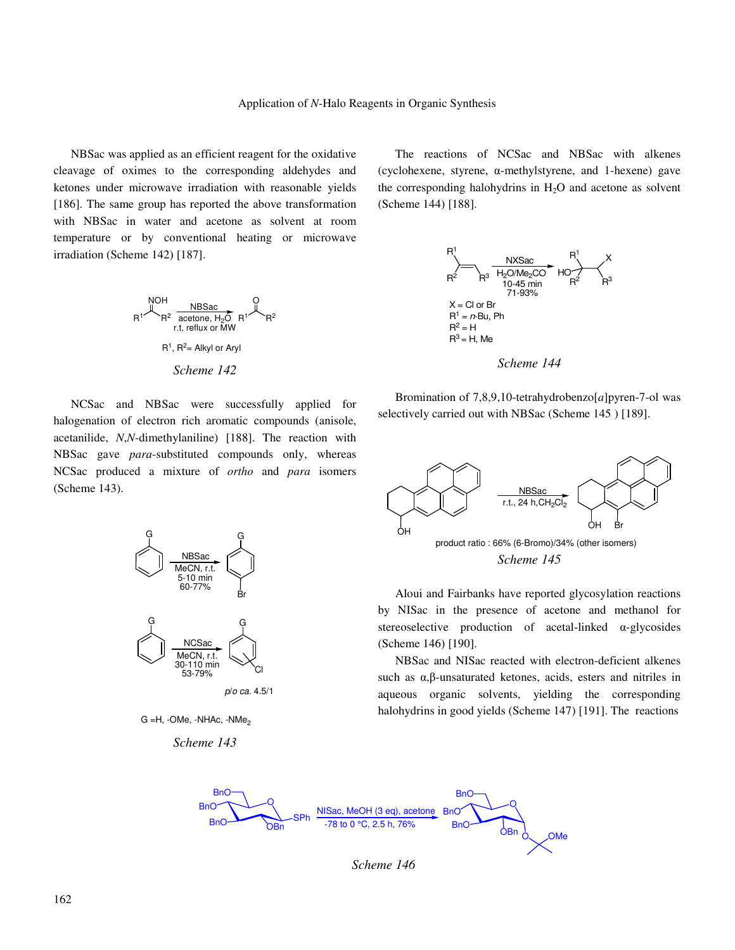NBSac was applied as an efficient reagent for the oxidative cleavage of oximes to the corresponding aldehydes and ketones under microwave irradiation with reasonable yields [186]. The same group has reported the above transformation with NBSac in water and acetone as solvent at room temperature or by conventional heating or microwave irradiation (Scheme 142) [187].

NOH

\n
$$
R^1
$$

\n $R^2$ 

\nacetone, H<sub>2</sub>O

\nr.t, reflux or MW

\n $R^1$ ,  $R^2$ 

\nScheme 142

 NCSac and NBSac were successfully applied for halogenation of electron rich aromatic compounds (anisole, acetanilide, *N*,*N*-dimethylaniline) [188]. The reaction with NBSac gave *para*-substituted compounds only, whereas NCSac produced a mixture of *ortho* and *para* isomers (Scheme 143).



G =H, -OMe, -NHAc, -NMe<sub>2</sub>

*Scheme 143* 

 The reactions of NCSac and NBSac with alkenes (cyclohexene, styrene, α-methylstyrene, and 1-hexene) gave the corresponding halohydrins in  $H_2O$  and acetone as solvent (Scheme 144) [188].



*Scheme 144* 

Bromination of 7,8,9,10-tetrahydrobenzo[*a*]pyren-7-ol was selectively carried out with NBSac (Scheme 145 ) [189].



 Aloui and Fairbanks have reported glycosylation reactions by NISac in the presence of acetone and methanol for stereoselective production of acetal-linked α-glycosides (Scheme 146) [190].

 NBSac and NISac reacted with electron-deficient alkenes such as α,β-unsaturated ketones, acids, esters and nitriles in aqueous organic solvents, yielding the corresponding halohydrins in good yields (Scheme 147) [191]. The reactions



*Scheme 146*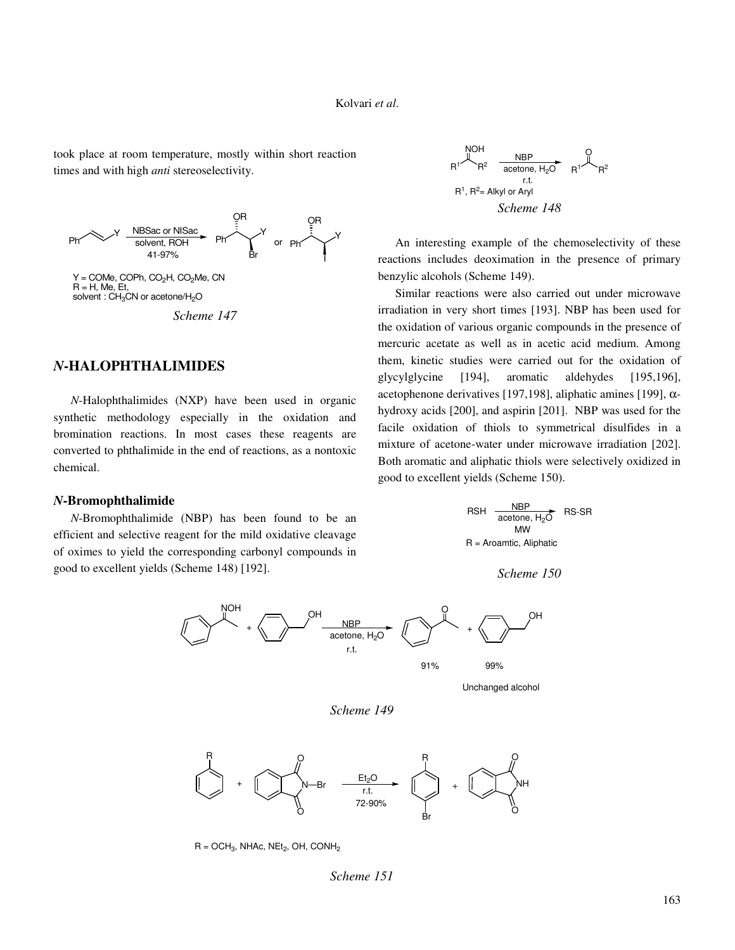took place at room temperature, mostly within short reaction times and with high *anti* stereoselectivity.



# *N***-HALOPHTHALIMIDES**

 *N*-Halophthalimides (NXP) have been used in organic synthetic methodology especially in the oxidation and bromination reactions. In most cases these reagents are converted to phthalimide in the end of reactions, as a nontoxic chemical.

### *N***-Bromophthalimide**

 *N*-Bromophthalimide (NBP) has been found to be an efficient and selective reagent for the mild oxidative cleavage of oximes to yield the corresponding carbonyl compounds in good to excellent yields (Scheme 148) [192].



 An interesting example of the chemoselectivity of these reactions includes deoximation in the presence of primary benzylic alcohols (Scheme 149).

 Similar reactions were also carried out under microwave irradiation in very short times [193]. NBP has been used for the oxidation of various organic compounds in the presence of mercuric acetate as well as in acetic acid medium. Among them, kinetic studies were carried out for the oxidation of glycylglycine [194], aromatic aldehydes [195,196], acetophenone derivatives [197,198], aliphatic amines [199], αhydroxy acids [200], and aspirin [201]. NBP was used for the facile oxidation of thiols to symmetrical disulfides in a mixture of acetone-water under microwave irradiation [202]. Both aromatic and aliphatic thiols were selectively oxidized in good to excellent yields (Scheme 150).

> RSH  $\overline{\text{acetone}}$ , H<sub>2</sub>O RS-SR **NBF** MW R = Aroamtic, Aliphatic

*Scheme 150* 



Unchanged alcohol

*Scheme 149* 



 $R = OCH_3$ , NHAc, NE $t_2$ , OH, CONH $_2$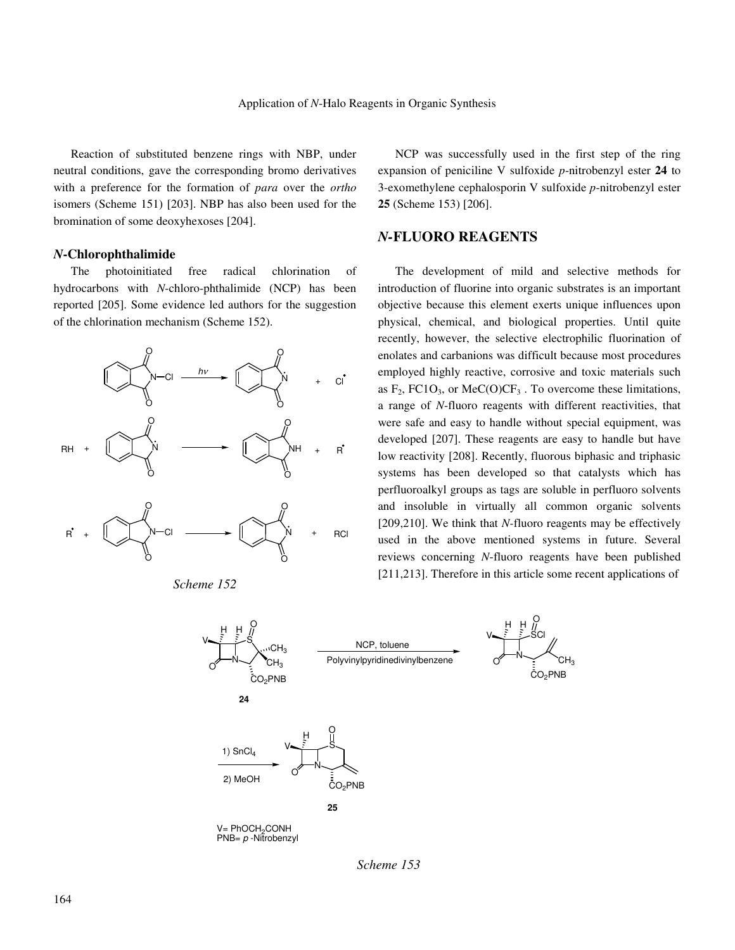Reaction of substituted benzene rings with NBP, under neutral conditions, gave the corresponding bromo derivatives with a preference for the formation of *para* over the *ortho* isomers (Scheme 151) [203]. NBP has also been used for the bromination of some deoxyhexoses [204].

### *N***-Chlorophthalimide**

 The photoinitiated free radical chlorination of hydrocarbons with *N*-chloro-phthalimide (NCP) has been reported [205]. Some evidence led authors for the suggestion of the chlorination mechanism (Scheme 152).





 NCP was successfully used in the first step of the ring expansion of peniciline V sulfoxide *p*-nitrobenzyl ester **24** to 3-exomethylene cephalosporin V sulfoxide *p*-nitrobenzyl ester **25** (Scheme 153) [206].

# *N-***FLUORO REAGENTS**

 The development of mild and selective methods for introduction of fluorine into organic substrates is an important objective because this element exerts unique influences upon physical, chemical, and biological properties. Until quite recently, however, the selective electrophilic fluorination of enolates and carbanions was difficult because most procedures employed highly reactive, corrosive and toxic materials such as  $F_2$ , FC1O<sub>3</sub>, or MeC(O)CF<sub>3</sub>. To overcome these limitations, a range of *N*-fluoro reagents with different reactivities, that were safe and easy to handle without special equipment, was developed [207]. These reagents are easy to handle but have low reactivity [208]. Recently, fluorous biphasic and triphasic systems has been developed so that catalysts which has perfluoroalkyl groups as tags are soluble in perfluoro solvents and insoluble in virtually all common organic solvents [209,210]. We think that *N*-fluoro reagents may be effectively used in the above mentioned systems in future. Several reviews concerning *N*-fluoro reagents have been published [211,213]. Therefore in this article some recent applications of



 $PNB = p$  -Nitrobenzyl

*Scheme 153*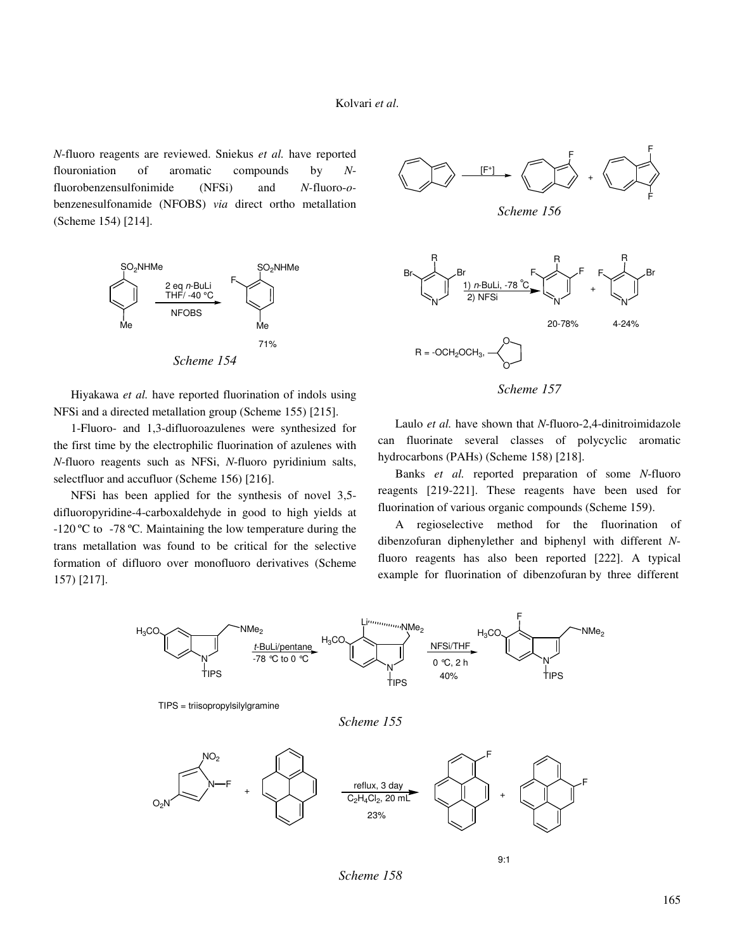*N*-fluoro reagents are reviewed. Sniekus *et al.* have reported flouroniation of aromatic compounds by *N*fluorobenzensulfonimide (NFSi) and *N-*fluoro-*o*benzenesulfonamide (NFOBS) *via* direct ortho metallation (Scheme 154) [214].





 Hiyakawa *et al.* have reported fluorination of indols using NFSi and a directed metallation group (Scheme 155) [215].

 1-Fluoro- and 1,3-difluoroazulenes were synthesized for the first time by the electrophilic fluorination of azulenes with *N*-fluoro reagents such as NFSi, *N*-fluoro pyridinium salts, selectfluor and accufluor (Scheme 156) [216].

 NFSi has been applied for the synthesis of novel 3,5 difluoropyridine-4-carboxaldehyde in good to high yields at -120 ºC to -78 ºC. Maintaining the low temperature during the trans metallation was found to be critical for the selective formation of difluoro over monofluoro derivatives (Scheme 157) [217].



*Scheme 156* 



*Scheme 157* 

 Laulo *et al.* have shown that *N*-fluoro-2,4-dinitroimidazole can fluorinate several classes of polycyclic aromatic hydrocarbons (PAHs) (Scheme 158) [218].

 Banks *et al.* reported preparation of some *N*-fluoro reagents [219-221]. These reagents have been used for fluorination of various organic compounds (Scheme 159).

 A regioselective method for the fluorination of dibenzofuran diphenylether and biphenyl with different *N*fluoro reagents has also been reported [222]. A typical example for fluorination of dibenzofuran by three different

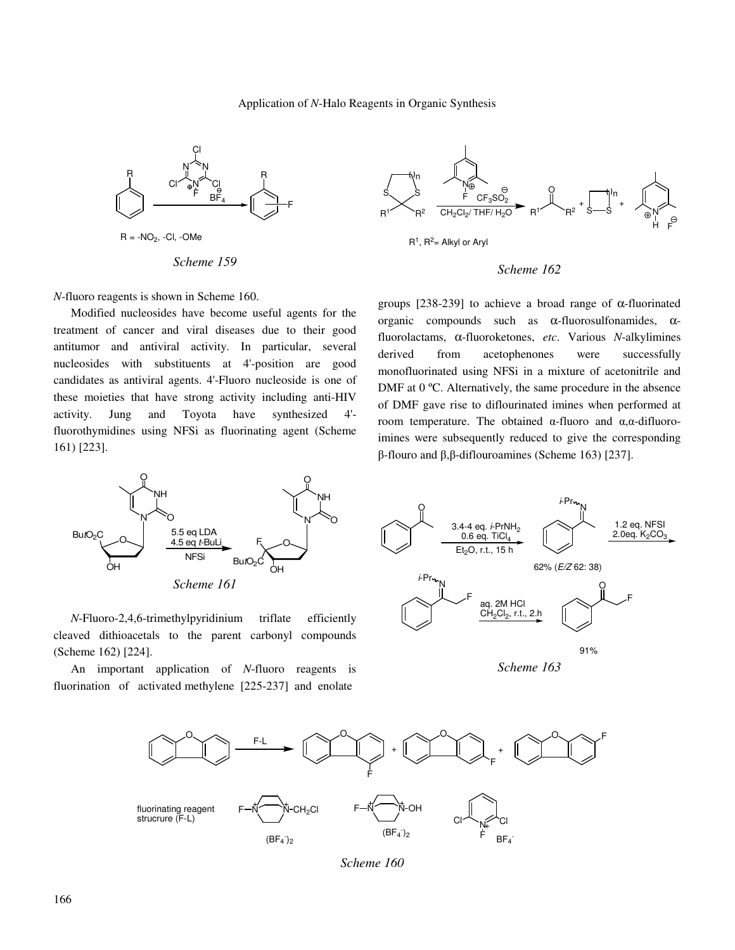### Application of *N*-Halo Reagents in Organic Synthesis



*Scheme 159* 



*Scheme 162* 

*N*-fluoro reagents is shown in Scheme 160.

 Modified nucleosides have become useful agents for the treatment of cancer and viral diseases due to their good antitumor and antiviral activity. In particular, several nucleosides with substituents at 4'-position are good candidates as antiviral agents. 4'-Fluoro nucleoside is one of these moieties that have strong activity including anti-HIV activity. Jung and Toyota have synthesized 4' fluorothymidines using NFSi as fluorinating agent (Scheme 161) [223].



 *N*-Fluoro-2,4,6-trimethylpyridinium triflate efficiently cleaved dithioacetals to the parent carbonyl compounds (Scheme 162) [224].

 An important application of *N*-fluoro reagents is fluorination of activated methylene [225-237] and enolate

groups [238-239] to achieve a broad range of α-fluorinated organic compounds such as  $\alpha$ -fluorosulfonamides,  $\alpha$ fluorolactams, α-fluoroketones, *etc*. Various *N*-alkylimines derived from acetophenones were successfully monofluorinated using NFSi in a mixture of acetonitrile and DMF at 0 °C. Alternatively, the same procedure in the absence of DMF gave rise to diflourinated imines when performed at room temperature. The obtained α-fluoro and α,α-difluoroimines were subsequently reduced to give the corresponding β-flouro and β,β-diflouroamines (Scheme 163) [237].





*Scheme 160*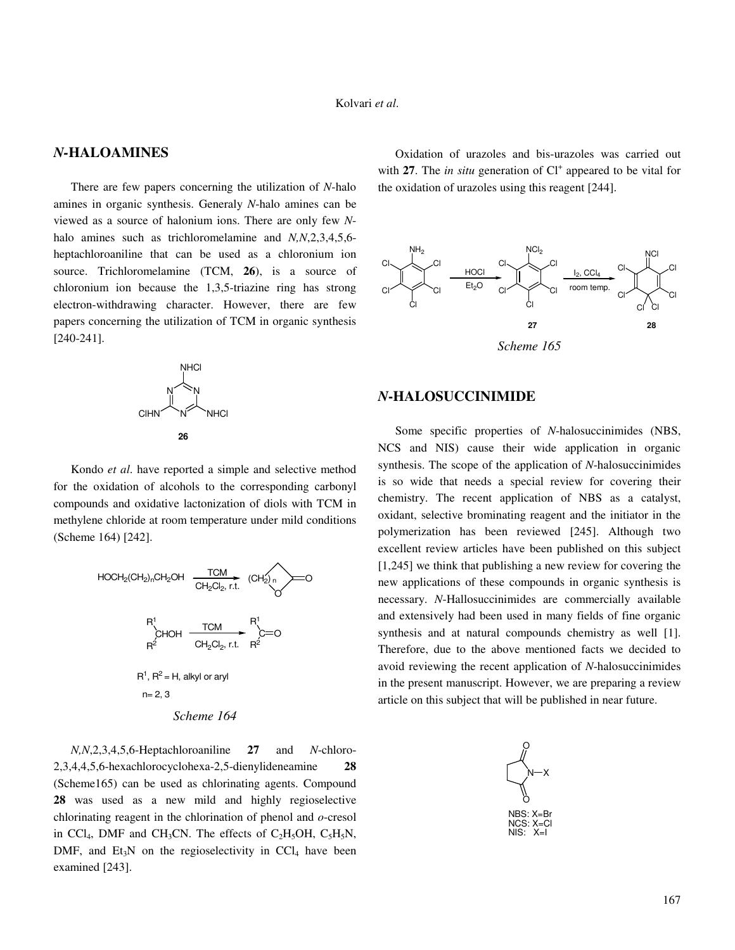## *N-***HALOAMINES**

 There are few papers concerning the utilization of *N*-halo amines in organic synthesis. Generaly *N*-halo amines can be viewed as a source of halonium ions. There are only few *N*halo amines such as trichloromelamine and *N,N*,2,3,4,5,6 heptachloroaniline that can be used as a chloronium ion source. Trichloromelamine (TCM, **26**), is a source of chloronium ion because the 1,3,5-triazine ring has strong electron-withdrawing character. However, there are few papers concerning the utilization of TCM in organic synthesis [240-241].



 Kondo *et al*. have reported a simple and selective method for the oxidation of alcohols to the corresponding carbonyl compounds and oxidative lactonization of diols with TCM in methylene chloride at room temperature under mild conditions (Scheme 164) [242].



 *N,N*,2,3,4,5,6-Heptachloroaniline **27** and *N*-chloro-2,3,4,4,5,6-hexachlorocyclohexa-2,5-dienylideneamine **28** (Scheme165) can be used as chlorinating agents. Compound **28** was used as a new mild and highly regioselective chlorinating reagent in the chlorination of phenol and *o*-cresol in CCl<sub>4</sub>, DMF and CH<sub>3</sub>CN. The effects of C<sub>2</sub>H<sub>5</sub>OH, C<sub>5</sub>H<sub>5</sub>N, DMF, and  $Et_3N$  on the regioselectivity in  $CCl_4$  have been examined [243].

 Oxidation of urazoles and bis-urazoles was carried out with 27. The *in situ* generation of Cl<sup>+</sup> appeared to be vital for the oxidation of urazoles using this reagent [244].



# *N***-HALOSUCCINIMIDE**

 Some specific properties of *N*-halosuccinimides (NBS, NCS and NIS) cause their wide application in organic synthesis. The scope of the application of *N*-halosuccinimides is so wide that needs a special review for covering their chemistry. The recent application of NBS as a catalyst, oxidant, selective brominating reagent and the initiator in the polymerization has been reviewed [245]. Although two excellent review articles have been published on this subject [1,245] we think that publishing a new review for covering the new applications of these compounds in organic synthesis is necessary. *N*-Hallosuccinimides are commercially available and extensively had been used in many fields of fine organic synthesis and at natural compounds chemistry as well [1]. Therefore, due to the above mentioned facts we decided to avoid reviewing the recent application of *N*-halosuccinimides in the present manuscript. However, we are preparing a review article on this subject that will be published in near future.

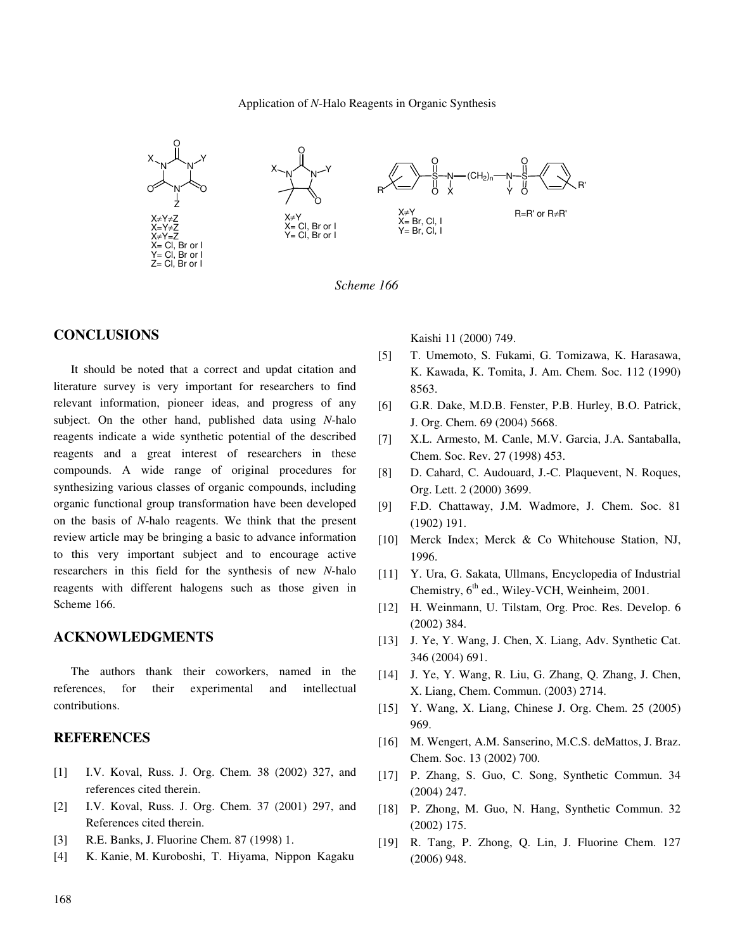Application of *N*-Halo Reagents in Organic Synthesis



*Scheme 166*

# **CONCLUSIONS**

 It should be noted that a correct and updat citation and literature survey is very important for researchers to find relevant information, pioneer ideas, and progress of any subject. On the other hand, published data using *N*-halo reagents indicate a wide synthetic potential of the described reagents and a great interest of researchers in these compounds. A wide range of original procedures for synthesizing various classes of organic compounds, including organic functional group transformation have been developed on the basis of *N*-halo reagents. We think that the present review article may be bringing a basic to advance information to this very important subject and to encourage active researchers in this field for the synthesis of new *N*-halo reagents with different halogens such as those given in Scheme 166.

### **ACKNOWLEDGMENTS**

 The authors thank their coworkers, named in the references, for their experimental and intellectual contributions.

### **REFERENCES**

- [1] I.V. Koval, Russ. J. Org. Chem. 38 (2002) 327, and references cited therein.
- [2] I.V. Koval, Russ. J. Org. Chem. 37 (2001) 297, and References cited therein.
- [3] R.E. Banks, J. Fluorine Chem. 87 (1998) 1.
- [4] K. Kanie, M. Kuroboshi, T. Hiyama, Nippon Kagaku

Kaishi 11 (2000) 749.

- [5] T. Umemoto, S. Fukami, G. Tomizawa, K. Harasawa, K. Kawada, K. Tomita, J. Am. Chem. Soc. 112 (1990) 8563.
- [6] G.R. Dake, M.D.B. Fenster, P.B. Hurley, B.O. Patrick, J. Org. Chem. 69 (2004) 5668.
- [7] X.L. Armesto, M. Canle, M.V. Garcia, J.A. Santaballa, Chem. Soc. Rev. 27 (1998) 453.
- [8] D. Cahard, C. Audouard, J.-C. Plaquevent, N. Roques, Org. Lett. 2 (2000) 3699.
- [9] F.D. Chattaway, J.M. Wadmore, J. Chem. Soc. 81 (1902) 191.
- [10] Merck Index; Merck & Co Whitehouse Station, NJ, 1996.
- [11] Y. Ura, G. Sakata, Ullmans, Encyclopedia of Industrial Chemistry,  $6<sup>th</sup>$  ed., Wiley-VCH, Weinheim, 2001.
- [12] H. Weinmann, U. Tilstam, Org. Proc. Res. Develop. 6 (2002) 384.
- [13] J. Ye, Y. Wang, J. Chen, X. Liang, Adv. Synthetic Cat. 346 (2004) 691.
- [14] J. Ye, Y. Wang, R. Liu, G. Zhang, Q. Zhang, J. Chen, X. Liang, Chem. Commun. (2003) 2714.
- [15] Y. Wang, X. Liang, Chinese J. Org. Chem. 25 (2005) 969.
- [16] M. Wengert, A.M. Sanserino, M.C.S. deMattos, J. Braz. Chem. Soc. 13 (2002) 700.
- [17] P. Zhang, S. Guo, C. Song, Synthetic Commun. 34 (2004) 247.
- [18] P. Zhong, M. Guo, N. Hang, Synthetic Commun. 32 (2002) 175.
- [19] R. Tang, P. Zhong, Q. Lin, J. Fluorine Chem. 127 (2006) 948.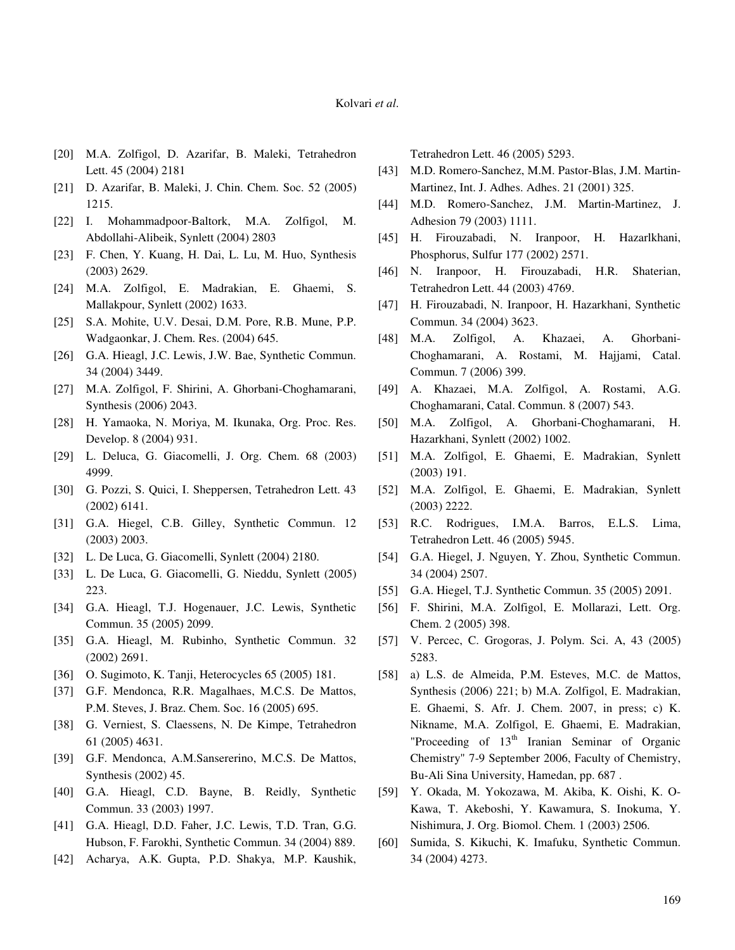- [20] M.A. Zolfigol, D. Azarifar, B. Maleki, Tetrahedron Lett. 45 (2004) 2181
- [21] D. Azarifar, B. Maleki, J. Chin. Chem. Soc. 52 (2005) 1215.
- [22] I. Mohammadpoor-Baltork, M.A. Zolfigol, M. Abdollahi-Alibeik, Synlett (2004) 2803
- [23] F. Chen, Y. Kuang, H. Dai, L. Lu, M. Huo, Synthesis (2003) 2629.
- [24] M.A. Zolfigol, E. Madrakian, E. Ghaemi, S. Mallakpour, Synlett (2002) 1633.
- [25] S.A. Mohite, U.V. Desai, D.M. Pore, R.B. Mune, P.P. Wadgaonkar, J. Chem. Res. (2004) 645.
- [26] G.A. Hieagl, J.C. Lewis, J.W. Bae, Synthetic Commun. 34 (2004) 3449.
- [27] M.A. Zolfigol, F. Shirini, A. Ghorbani-Choghamarani, Synthesis (2006) 2043.
- [28] H. Yamaoka, N. Moriya, M. Ikunaka, Org. Proc. Res. Develop. 8 (2004) 931.
- [29] L. Deluca, G. Giacomelli, J. Org. Chem. 68 (2003) 4999.
- [30] G. Pozzi, S. Quici, I. Sheppersen, Tetrahedron Lett. 43 (2002) 6141.
- [31] G.A. Hiegel, C.B. Gilley, Synthetic Commun. 12 (2003) 2003.
- [32] L. De Luca, G. Giacomelli, Synlett (2004) 2180.
- [33] L. De Luca, G. Giacomelli, G. Nieddu, Synlett (2005) 223.
- [34] G.A. Hieagl, T.J. Hogenauer, J.C. Lewis, Synthetic Commun. 35 (2005) 2099.
- [35] G.A. Hieagl, M. Rubinho, Synthetic Commun. 32 (2002) 2691.
- [36] O. Sugimoto, K. Tanji, Heterocycles 65 (2005) 181.
- [37] G.F. Mendonca, R.R. Magalhaes, M.C.S. De Mattos, P.M. Steves, J. Braz. Chem. Soc. 16 (2005) 695.
- [38] G. Verniest, S. Claessens, N. De Kimpe, Tetrahedron 61 (2005) 4631.
- [39] G.F. Mendonca, A.M.Sansererino, M.C.S. De Mattos, Synthesis (2002) 45.
- [40] G.A. Hieagl, C.D. Bayne, B. Reidly, Synthetic Commun. 33 (2003) 1997.
- [41] G.A. Hieagl, D.D. Faher, J.C. Lewis, T.D. Tran, G.G. Hubson, F. Farokhi, Synthetic Commun. 34 (2004) 889.
- [42] Acharya, A.K. Gupta, P.D. Shakya, M.P. Kaushik,

Tetrahedron Lett. 46 (2005) 5293.

- [43] M.D. Romero-Sanchez, M.M. Pastor-Blas, J.M. Martin-Martinez, Int. J. Adhes. Adhes. 21 (2001) 325.
- [44] M.D. Romero-Sanchez, J.M. Martin-Martinez, J. Adhesion 79 (2003) 1111.
- [45] H. Firouzabadi, N. Iranpoor, H. Hazarlkhani, Phosphorus, Sulfur 177 (2002) 2571.
- [46] N. Iranpoor, H. Firouzabadi, H.R. Shaterian, Tetrahedron Lett. 44 (2003) 4769.
- [47] H. Firouzabadi, N. Iranpoor, H. Hazarkhani, Synthetic Commun. 34 (2004) 3623.
- [48] M.A. Zolfigol, A. Khazaei, A. Ghorbani-Choghamarani, A. Rostami, M. Hajjami, Catal. Commun. 7 (2006) 399.
- [49] A. Khazaei, M.A. Zolfigol, A. Rostami, A.G. Choghamarani, Catal. Commun. 8 (2007) 543.
- [50] M.A. Zolfigol, A. Ghorbani-Choghamarani, H. Hazarkhani, Synlett (2002) 1002.
- [51] M.A. Zolfigol, E. Ghaemi, E. Madrakian, Synlett (2003) 191.
- [52] M.A. Zolfigol, E. Ghaemi, E. Madrakian, Synlett (2003) 2222.
- [53] R.C. Rodrigues, I.M.A. Barros, E.L.S. Lima, Tetrahedron Lett. 46 (2005) 5945.
- [54] G.A. Hiegel, J. Nguyen, Y. Zhou, Synthetic Commun. 34 (2004) 2507.
- [55] G.A. Hiegel, T.J. Synthetic Commun. 35 (2005) 2091.
- [56] F. Shirini, M.A. Zolfigol, E. Mollarazi, Lett. Org. Chem. 2 (2005) 398.
- [57] V. Percec, C. Grogoras, J. Polym. Sci. A, 43 (2005) 5283.
- [58] a) L.S. de Almeida, P.M. Esteves, M.C. de Mattos, Synthesis (2006) 221; b) M.A. Zolfigol, E. Madrakian, E. Ghaemi, S. Afr. J. Chem. 2007, in press; c) K. Nikname, M.A. Zolfigol, E. Ghaemi, E. Madrakian, "Proceeding of  $13<sup>th</sup>$  Iranian Seminar of Organic Chemistry" 7-9 September 2006, Faculty of Chemistry, Bu-Ali Sina University, Hamedan, pp. 687 .
- [59] Y. Okada, M. Yokozawa, M. Akiba, K. Oishi, K. O-Kawa, T. Akeboshi, Y. Kawamura, S. Inokuma, Y. Nishimura, J. Org. Biomol. Chem. 1 (2003) 2506.
- [60] Sumida, S. Kikuchi, K. Imafuku, Synthetic Commun. 34 (2004) 4273.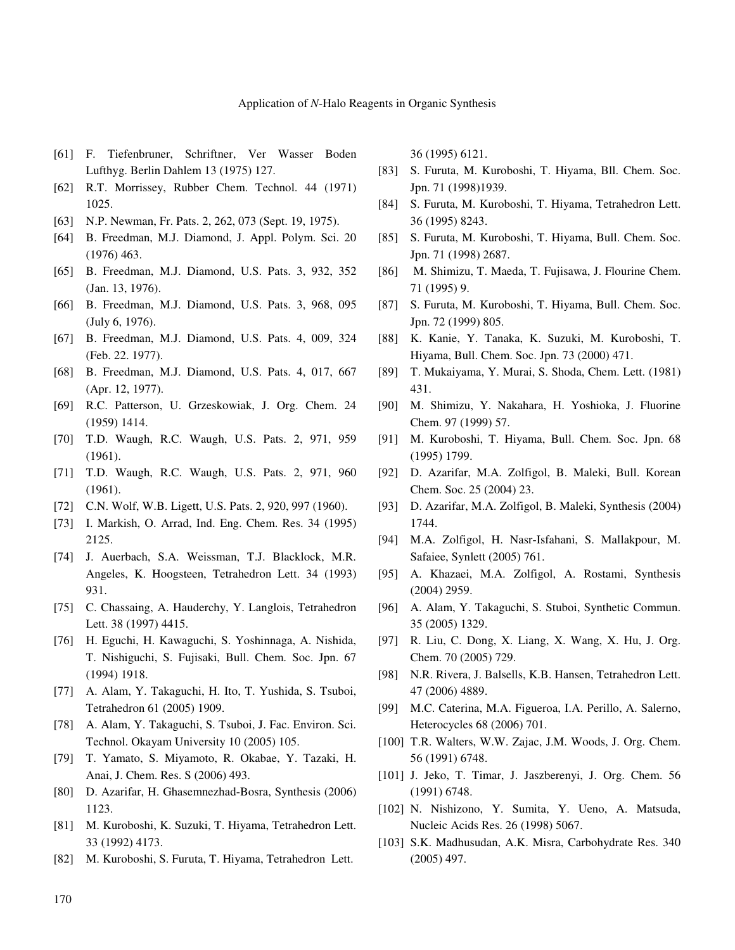- [61] F. Tiefenbruner, Schriftner, Ver Wasser Boden Lufthyg. Berlin Dahlem 13 (1975) 127.
- [62] R.T. Morrissey, Rubber Chem. Technol. 44 (1971) 1025.
- [63] N.P. Newman, Fr. Pats. 2, 262, 073 (Sept. 19, 1975).
- [64] B. Freedman, M.J. Diamond, J. Appl. Polym. Sci. 20 (1976) 463.
- [65] B. Freedman, M.J. Diamond, U.S. Pats. 3, 932, 352 (Jan. 13, 1976).
- [66] B. Freedman, M.J. Diamond, U.S. Pats. 3, 968, 095 (July 6, 1976).
- [67] B. Freedman, M.J. Diamond, U.S. Pats. 4, 009, 324 (Feb. 22. 1977).
- [68] B. Freedman, M.J. Diamond, U.S. Pats. 4, 017, 667 (Apr. 12, 1977).
- [69] R.C. Patterson, U. Grzeskowiak, J. Org. Chem. 24 (1959) 1414.
- [70] T.D. Waugh, R.C. Waugh, U.S. Pats. 2, 971, 959 (1961).
- [71] T.D. Waugh, R.C. Waugh, U.S. Pats. 2, 971, 960 (1961).
- [72] C.N. Wolf, W.B. Ligett, U.S. Pats. 2, 920, 997 (1960).
- [73] I. Markish, O. Arrad, Ind. Eng. Chem. Res. 34 (1995) 2125.
- [74] J. Auerbach, S.A. Weissman, T.J. Blacklock, M.R. Angeles, K. Hoogsteen, Tetrahedron Lett. 34 (1993) 931.
- [75] C. Chassaing, A. Hauderchy, Y. Langlois, Tetrahedron Lett. 38 (1997) 4415.
- [76] H. Eguchi, H. Kawaguchi, S. Yoshinnaga, A. Nishida, T. Nishiguchi, S. Fujisaki, Bull. Chem. Soc. Jpn. 67 (1994) 1918.
- [77] A. Alam, Y. Takaguchi, H. Ito, T. Yushida, S. Tsuboi, Tetrahedron 61 (2005) 1909.
- [78] A. Alam, Y. Takaguchi, S. Tsuboi, J. Fac. Environ. Sci. Technol. Okayam University 10 (2005) 105.
- [79] T. Yamato, S. Miyamoto, R. Okabae, Y. Tazaki, H. Anai, J. Chem. Res. S (2006) 493.
- [80] D. Azarifar, H. Ghasemnezhad-Bosra, Synthesis (2006) 1123.
- [81] M. Kuroboshi, K. Suzuki, T. Hiyama, Tetrahedron Lett. 33 (1992) 4173.
- [82] M. Kuroboshi, S. Furuta, T. Hiyama, Tetrahedron Lett.

36 (1995) 6121.

- [83] S. Furuta, M. Kuroboshi, T. Hiyama, Bll. Chem. Soc. Jpn. 71 (1998)1939.
- [84] S. Furuta, M. Kuroboshi, T. Hiyama, Tetrahedron Lett. 36 (1995) 8243.
- [85] S. Furuta, M. Kuroboshi, T. Hiyama, Bull. Chem. Soc. Jpn. 71 (1998) 2687.
- [86] M. Shimizu, T. Maeda, T. Fujisawa, J. Flourine Chem. 71 (1995) 9.
- [87] S. Furuta, M. Kuroboshi, T. Hiyama, Bull. Chem. Soc. Jpn. 72 (1999) 805.
- [88] K. Kanie, Y. Tanaka, K. Suzuki, M. Kuroboshi, T. Hiyama, Bull. Chem. Soc. Jpn. 73 (2000) 471.
- [89] T. Mukaiyama, Y. Murai, S. Shoda, Chem. Lett. (1981) 431.
- [90] M. Shimizu, Y. Nakahara, H. Yoshioka, J. Fluorine Chem. 97 (1999) 57.
- [91] M. Kuroboshi, T. Hiyama, Bull. Chem. Soc. Jpn. 68 (1995) 1799.
- [92] D. Azarifar, M.A. Zolfigol, B. Maleki, Bull. Korean Chem. Soc. 25 (2004) 23.
- [93] D. Azarifar, M.A. Zolfigol, B. Maleki, Synthesis (2004) 1744.
- [94] M.A. Zolfigol, H. Nasr-Isfahani, S. Mallakpour, M. Safaiee, Synlett (2005) 761.
- [95] A. Khazaei, M.A. Zolfigol, A. Rostami, Synthesis (2004) 2959.
- [96] A. Alam, Y. Takaguchi, S. Stuboi, Synthetic Commun. 35 (2005) 1329.
- [97] R. Liu, C. Dong, X. Liang, X. Wang, X. Hu, J. Org. Chem. 70 (2005) 729.
- [98] N.R. Rivera, J. Balsells, K.B. Hansen, Tetrahedron Lett. 47 (2006) 4889.
- [99] M.C. Caterina, M.A. Figueroa, I.A. Perillo, A. Salerno, Heterocycles 68 (2006) 701.
- [100] T.R. Walters, W.W. Zajac, J.M. Woods, J. Org. Chem. 56 (1991) 6748.
- [101] J. Jeko, T. Timar, J. Jaszberenyi, J. Org. Chem. 56 (1991) 6748.
- [102] N. Nishizono, Y. Sumita, Y. Ueno, A. Matsuda, Nucleic Acids Res. 26 (1998) 5067.
- [103] S.K. Madhusudan, A.K. Misra, Carbohydrate Res. 340 (2005) 497.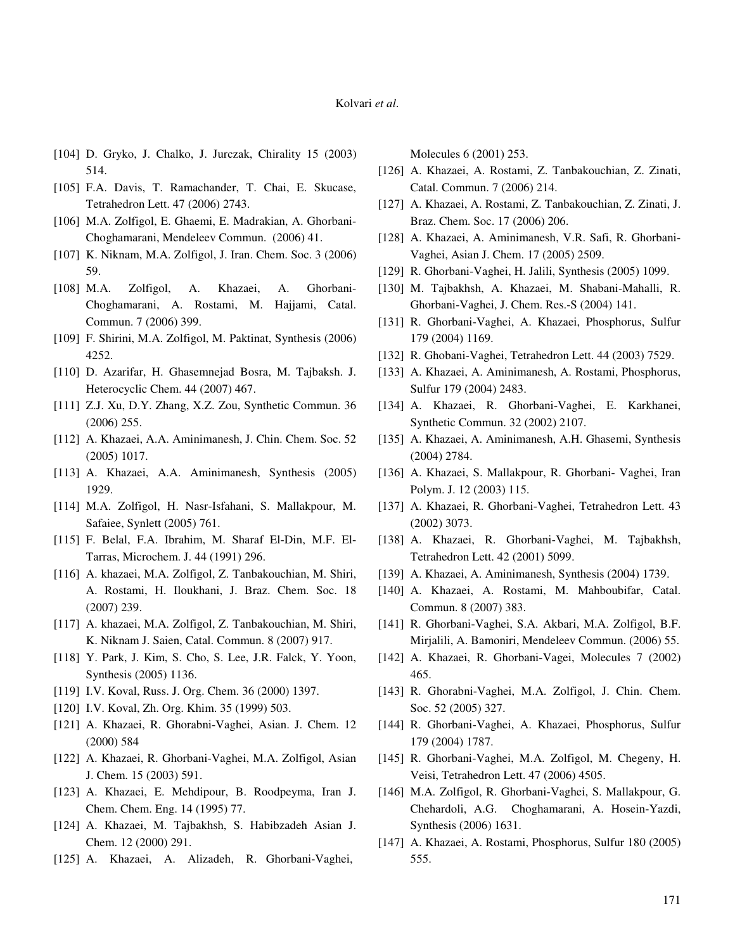- [104] D. Gryko, J. Chalko, J. Jurczak, Chirality 15 (2003) 514.
- [105] F.A. Davis, T. Ramachander, T. Chai, E. Skucase, Tetrahedron Lett. 47 (2006) 2743.
- [106] M.A. Zolfigol, E. Ghaemi, E. Madrakian, A. Ghorbani-Choghamarani, Mendeleev Commun. (2006) 41.
- [107] K. Niknam, M.A. Zolfigol, J. Iran. Chem. Soc. 3 (2006) 59.
- [108] M.A. Zolfigol, A. Khazaei, A. Ghorbani-Choghamarani, A. Rostami, M. Hajjami, Catal. Commun. 7 (2006) 399.
- [109] F. Shirini, M.A. Zolfigol, M. Paktinat, Synthesis (2006) 4252.
- [110] D. Azarifar, H. Ghasemnejad Bosra, M. Tajbaksh. J. Heterocyclic Chem. 44 (2007) 467.
- [111] Z.J. Xu, D.Y. Zhang, X.Z. Zou, Synthetic Commun. 36 (2006) 255.
- [112] A. Khazaei, A.A. Aminimanesh, J. Chin. Chem. Soc. 52 (2005) 1017.
- [113] A. Khazaei, A.A. Aminimanesh, Synthesis (2005) 1929.
- [114] M.A. Zolfigol, H. Nasr-Isfahani, S. Mallakpour, M. Safaiee, Synlett (2005) 761.
- [115] F. Belal, F.A. Ibrahim, M. Sharaf El-Din, M.F. El-Tarras, Microchem. J. 44 (1991) 296.
- [116] A. khazaei, M.A. Zolfigol, Z. Tanbakouchian, M. Shiri, A. Rostami, H. Iloukhani, J. Braz. Chem. Soc. 18 (2007) 239.
- [117] A. khazaei, M.A. Zolfigol, Z. Tanbakouchian, M. Shiri, K. Niknam J. Saien, Catal. Commun. 8 (2007) 917.
- [118] Y. Park, J. Kim, S. Cho, S. Lee, J.R. Falck, Y. Yoon, Synthesis (2005) 1136.
- [119] I.V. Koval, Russ. J. Org. Chem. 36 (2000) 1397.
- [120] I.V. Koval, Zh. Org. Khim. 35 (1999) 503.
- [121] A. Khazaei, R. Ghorabni-Vaghei, Asian. J. Chem. 12 (2000) 584
- [122] A. Khazaei, R. Ghorbani-Vaghei, M.A. Zolfigol, Asian J. Chem. 15 (2003) 591.
- [123] A. Khazaei, E. Mehdipour, B. Roodpeyma, Iran J. Chem. Chem. Eng. 14 (1995) 77.
- [124] A. Khazaei, M. Tajbakhsh, S. Habibzadeh Asian J. Chem. 12 (2000) 291.
- [125] A. Khazaei, A. Alizadeh, R. Ghorbani-Vaghei,

Molecules 6 (2001) 253.

- [126] A. Khazaei, A. Rostami, Z. Tanbakouchian, Z. Zinati, Catal. Commun. 7 (2006) 214.
- [127] A. Khazaei, A. Rostami, Z. Tanbakouchian, Z. Zinati, J. Braz. Chem. Soc. 17 (2006) 206.
- [128] A. Khazaei, A. Aminimanesh, V.R. Safi, R. Ghorbani-Vaghei, Asian J. Chem. 17 (2005) 2509.
- [129] R. Ghorbani-Vaghei, H. Jalili, Synthesis (2005) 1099.
- [130] M. Tajbakhsh, A. Khazaei, M. Shabani-Mahalli, R. Ghorbani-Vaghei, J. Chem. Res.-S (2004) 141.
- [131] R. Ghorbani-Vaghei, A. Khazaei, Phosphorus, Sulfur 179 (2004) 1169.
- [132] R. Ghobani-Vaghei, Tetrahedron Lett. 44 (2003) 7529.
- [133] A. Khazaei, A. Aminimanesh, A. Rostami, Phosphorus, Sulfur 179 (2004) 2483.
- [134] A. Khazaei, R. Ghorbani-Vaghei, E. Karkhanei, Synthetic Commun. 32 (2002) 2107.
- [135] A. Khazaei, A. Aminimanesh, A.H. Ghasemi, Synthesis (2004) 2784.
- [136] A. Khazaei, S. Mallakpour, R. Ghorbani- Vaghei, Iran Polym. J. 12 (2003) 115.
- [137] A. Khazaei, R. Ghorbani-Vaghei, Tetrahedron Lett. 43 (2002) 3073.
- [138] A. Khazaei, R. Ghorbani-Vaghei, M. Tajbakhsh, Tetrahedron Lett. 42 (2001) 5099.
- [139] A. Khazaei, A. Aminimanesh, Synthesis (2004) 1739.
- [140] A. Khazaei, A. Rostami, M. Mahboubifar, Catal. Commun. 8 (2007) 383.
- [141] R. Ghorbani-Vaghei, S.A. Akbari, M.A. Zolfigol, B.F. Mirjalili, A. Bamoniri, Mendeleev Commun. (2006) 55.
- [142] A. Khazaei, R. Ghorbani-Vagei, Molecules 7 (2002) 465.
- [143] R. Ghorabni-Vaghei, M.A. Zolfigol, J. Chin. Chem. Soc. 52 (2005) 327.
- [144] R. Ghorbani-Vaghei, A. Khazaei, Phosphorus, Sulfur 179 (2004) 1787.
- [145] R. Ghorbani-Vaghei, M.A. Zolfigol, M. Chegeny, H. Veisi, Tetrahedron Lett. 47 (2006) 4505.
- [146] M.A. Zolfigol, R. Ghorbani-Vaghei, S. Mallakpour, G. Chehardoli, A.G. Choghamarani, A. Hosein-Yazdi, Synthesis (2006) 1631.
- [147] A. Khazaei, A. Rostami, Phosphorus, Sulfur 180 (2005) 555.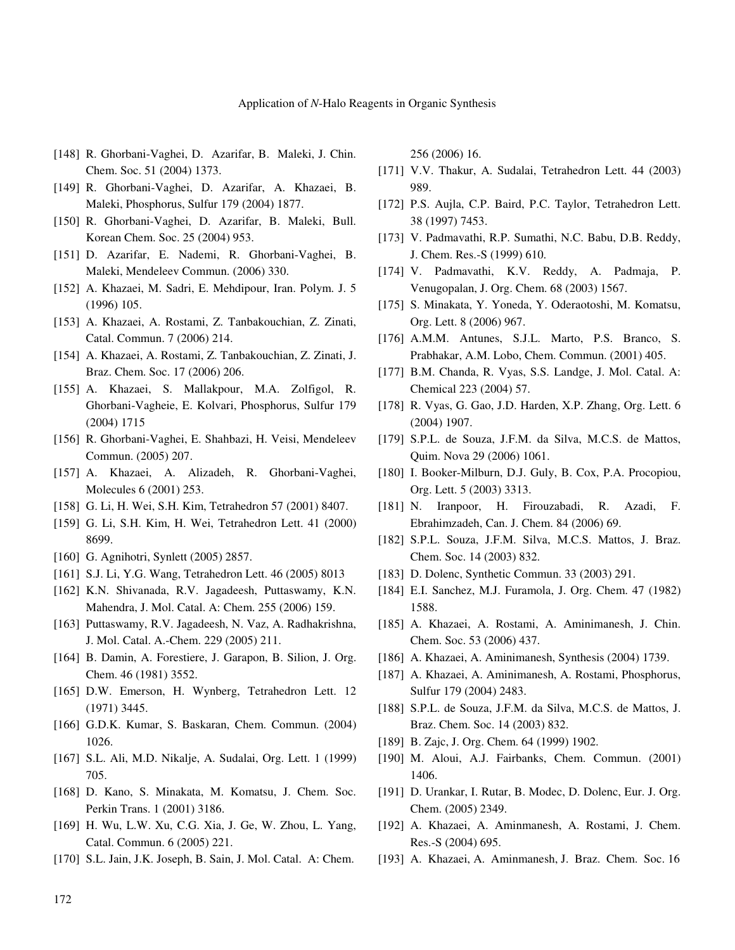- [148] R. Ghorbani-Vaghei, D. Azarifar, B. Maleki, J. Chin. Chem. Soc. 51 (2004) 1373.
- [149] R. Ghorbani-Vaghei, D. Azarifar, A. Khazaei, B. Maleki, Phosphorus, Sulfur 179 (2004) 1877.
- [150] R. Ghorbani-Vaghei, D. Azarifar, B. Maleki, Bull. Korean Chem. Soc. 25 (2004) 953.
- [151] D. Azarifar, E. Nademi, R. Ghorbani-Vaghei, B. Maleki, Mendeleev Commun. (2006) 330.
- [152] A. Khazaei, M. Sadri, E. Mehdipour, Iran. Polym. J. 5 (1996) 105.
- [153] A. Khazaei, A. Rostami, Z. Tanbakouchian, Z. Zinati, Catal. Commun. 7 (2006) 214.
- [154] A. Khazaei, A. Rostami, Z. Tanbakouchian, Z. Zinati, J. Braz. Chem. Soc. 17 (2006) 206.
- [155] A. Khazaei, S. Mallakpour, M.A. Zolfigol, R. Ghorbani-Vagheie, E. Kolvari, Phosphorus, Sulfur 179 (2004) 1715
- [156] R. Ghorbani-Vaghei, E. Shahbazi, H. Veisi, Mendeleev Commun. (2005) 207.
- [157] A. Khazaei, A. Alizadeh, R. Ghorbani-Vaghei, Molecules 6 (2001) 253.
- [158] G. Li, H. Wei, S.H. Kim, Tetrahedron 57 (2001) 8407.
- [159] G. Li, S.H. Kim, H. Wei, Tetrahedron Lett. 41 (2000) 8699.
- [160] G. Agnihotri, Synlett (2005) 2857.
- [161] S.J. Li, Y.G. Wang, Tetrahedron Lett. 46 (2005) 8013
- [162] K.N. Shivanada, R.V. Jagadeesh, Puttaswamy, K.N. Mahendra, J. Mol. Catal. A: Chem. 255 (2006) 159.
- [163] Puttaswamy, R.V. Jagadeesh, N. Vaz, A. Radhakrishna, J. Mol. Catal. A.-Chem. 229 (2005) 211.
- [164] B. Damin, A. Forestiere, J. Garapon, B. Silion, J. Org. Chem. 46 (1981) 3552.
- [165] D.W. Emerson, H. Wynberg, Tetrahedron Lett. 12 (1971) 3445.
- [166] G.D.K. Kumar, S. Baskaran, Chem. Commun. (2004) 1026.
- [167] S.L. Ali, M.D. Nikalje, A. Sudalai, Org. Lett. 1 (1999) 705.
- [168] D. Kano, S. Minakata, M. Komatsu, J. Chem. Soc. Perkin Trans. 1 (2001) 3186.
- [169] H. Wu, L.W. Xu, C.G. Xia, J. Ge, W. Zhou, L. Yang, Catal. Commun. 6 (2005) 221.
- [170] S.L. Jain, J.K. Joseph, B. Sain, J. Mol. Catal. A: Chem.

256 (2006) 16.

- [171] V.V. Thakur, A. Sudalai, Tetrahedron Lett. 44 (2003) 989.
- [172] P.S. Aujla, C.P. Baird, P.C. Taylor, Tetrahedron Lett. 38 (1997) 7453.
- [173] V. Padmavathi, R.P. Sumathi, N.C. Babu, D.B. Reddy, J. Chem. Res.-S (1999) 610.
- [174] V. Padmavathi, K.V. Reddy, A. Padmaja, P. Venugopalan, J. Org. Chem. 68 (2003) 1567.
- [175] S. Minakata, Y. Yoneda, Y. Oderaotoshi, M. Komatsu, Org. Lett. 8 (2006) 967.
- [176] A.M.M. Antunes, S.J.L. Marto, P.S. Branco, S. Prabhakar, A.M. Lobo, Chem. Commun. (2001) 405.
- [177] B.M. Chanda, R. Vyas, S.S. Landge, J. Mol. Catal. A: Chemical 223 (2004) 57.
- [178] R. Vyas, G. Gao, J.D. Harden, X.P. Zhang, Org. Lett. 6 (2004) 1907.
- [179] S.P.L. de Souza, J.F.M. da Silva, M.C.S. de Mattos, Quim. Nova 29 (2006) 1061.
- [180] I. Booker-Milburn, D.J. Guly, B. Cox, P.A. Procopiou, Org. Lett. 5 (2003) 3313.
- [181] N. Iranpoor, H. Firouzabadi, R. Azadi, F. Ebrahimzadeh, Can. J. Chem. 84 (2006) 69.
- [182] S.P.L. Souza, J.F.M. Silva, M.C.S. Mattos, J. Braz. Chem. Soc. 14 (2003) 832.
- [183] D. Dolenc, Synthetic Commun. 33 (2003) 291.
- [184] E.I. Sanchez, M.J. Furamola, J. Org. Chem. 47 (1982) 1588.
- [185] A. Khazaei, A. Rostami, A. Aminimanesh, J. Chin. Chem. Soc. 53 (2006) 437.
- [186] A. Khazaei, A. Aminimanesh, Synthesis (2004) 1739.
- [187] A. Khazaei, A. Aminimanesh, A. Rostami, Phosphorus, Sulfur 179 (2004) 2483.
- [188] S.P.L. de Souza, J.F.M. da Silva, M.C.S. de Mattos, J. Braz. Chem. Soc. 14 (2003) 832.
- [189] B. Zajc, J. Org. Chem. 64 (1999) 1902.
- [190] M. Aloui, A.J. Fairbanks, Chem. Commun. (2001) 1406.
- [191] D. Urankar, I. Rutar, B. Modec, D. Dolenc, Eur. J. Org. Chem. (2005) 2349.
- [192] A. Khazaei, A. Aminmanesh, A. Rostami, J. Chem. Res.-S (2004) 695.
- [193] A. Khazaei, A. Aminmanesh, J. Braz. Chem. Soc. 16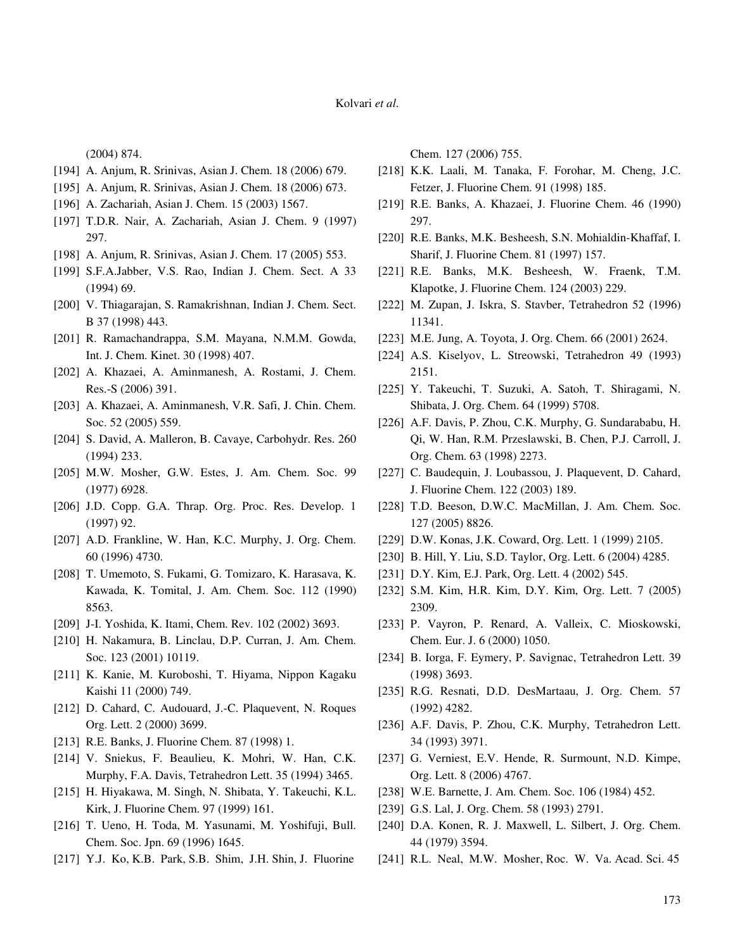(2004) 874.

- [194] A. Anjum, R. Srinivas, Asian J. Chem. 18 (2006) 679.
- [195] A. Anjum, R. Srinivas, Asian J. Chem. 18 (2006) 673.
- [196] A. Zachariah, Asian J. Chem. 15 (2003) 1567.
- [197] T.D.R. Nair, A. Zachariah, Asian J. Chem. 9 (1997) 297.
- [198] A. Anjum, R. Srinivas, Asian J. Chem. 17 (2005) 553.
- [199] S.F.A.Jabber, V.S. Rao, Indian J. Chem. Sect. A 33 (1994) 69.
- [200] V. Thiagarajan, S. Ramakrishnan, Indian J. Chem. Sect. B 37 (1998) 443.
- [201] R. Ramachandrappa, S.M. Mayana, N.M.M. Gowda, Int. J. Chem. Kinet. 30 (1998) 407.
- [202] A. Khazaei, A. Aminmanesh, A. Rostami, J. Chem. Res.-S (2006) 391.
- [203] A. Khazaei, A. Aminmanesh, V.R. Safi, J. Chin. Chem. Soc. 52 (2005) 559.
- [204] S. David, A. Malleron, B. Cavaye, Carbohydr. Res. 260 (1994) 233.
- [205] M.W. Mosher, G.W. Estes, J. Am. Chem. Soc. 99 (1977) 6928.
- [206] J.D. Copp. G.A. Thrap. Org. Proc. Res. Develop. 1 (1997) 92.
- [207] A.D. Frankline, W. Han, K.C. Murphy, J. Org. Chem. 60 (1996) 4730.
- [208] T. Umemoto, S. Fukami, G. Tomizaro, K. Harasava, K. Kawada, K. Tomital, J. Am. Chem. Soc. 112 (1990) 8563.
- [209] J-I. Yoshida, K. Itami, Chem. Rev. 102 (2002) 3693.
- [210] H. Nakamura, B. Linclau, D.P. Curran, J. Am. Chem. Soc. 123 (2001) 10119.
- [211] K. Kanie, M. Kuroboshi, T. Hiyama, Nippon Kagaku Kaishi 11 (2000) 749.
- [212] D. Cahard, C. Audouard, J.-C. Plaquevent, N. Roques Org. Lett. 2 (2000) 3699.
- [213] R.E. Banks, J. Fluorine Chem. 87 (1998) 1.
- [214] V. Sniekus, F. Beaulieu, K. Mohri, W. Han, C.K. Murphy, F.A. Davis, Tetrahedron Lett. 35 (1994) 3465.
- [215] H. Hiyakawa, M. Singh, N. Shibata, Y. Takeuchi, K.L. Kirk, J. Fluorine Chem. 97 (1999) 161.
- [216] T. Ueno, H. Toda, M. Yasunami, M. Yoshifuji, Bull. Chem. Soc. Jpn. 69 (1996) 1645.
- [217] Y.J. Ko, K.B. Park, S.B. Shim, J.H. Shin, J. Fluorine

Chem. 127 (2006) 755.

- [218] K.K. Laali, M. Tanaka, F. Forohar, M. Cheng, J.C. Fetzer, J. Fluorine Chem. 91 (1998) 185.
- [219] R.E. Banks, A. Khazaei, J. Fluorine Chem. 46 (1990) 297.
- [220] R.E. Banks, M.K. Besheesh, S.N. Mohialdin-Khaffaf, I. Sharif, J. Fluorine Chem. 81 (1997) 157.
- [221] R.E. Banks, M.K. Besheesh, W. Fraenk, T.M. Klapotke, J. Fluorine Chem. 124 (2003) 229.
- [222] M. Zupan, J. Iskra, S. Stavber, Tetrahedron 52 (1996) 11341.
- [223] M.E. Jung, A. Toyota, J. Org. Chem. 66 (2001) 2624.
- [224] A.S. Kiselyov, L. Streowski, Tetrahedron 49 (1993) 2151.
- [225] Y. Takeuchi, T. Suzuki, A. Satoh, T. Shiragami, N. Shibata, J. Org. Chem. 64 (1999) 5708.
- [226] A.F. Davis, P. Zhou, C.K. Murphy, G. Sundarababu, H. Qi, W. Han, R.M. Przeslawski, B. Chen, P.J. Carroll, J. Org. Chem. 63 (1998) 2273.
- [227] C. Baudequin, J. Loubassou, J. Plaquevent, D. Cahard, J. Fluorine Chem. 122 (2003) 189.
- [228] T.D. Beeson, D.W.C. MacMillan, J. Am. Chem. Soc. 127 (2005) 8826.
- [229] D.W. Konas, J.K. Coward, Org. Lett. 1 (1999) 2105.
- [230] B. Hill, Y. Liu, S.D. Taylor, Org. Lett. 6 (2004) 4285.
- [231] D.Y. Kim, E.J. Park, Org. Lett. 4 (2002) 545.
- [232] S.M. Kim, H.R. Kim, D.Y. Kim, Org. Lett. 7 (2005) 2309.
- [233] P. Vayron, P. Renard, A. Valleix, C. Mioskowski, Chem. Eur. J. 6 (2000) 1050.
- [234] B. Iorga, F. Eymery, P. Savignac, Tetrahedron Lett. 39 (1998) 3693.
- [235] R.G. Resnati, D.D. DesMartaau, J. Org. Chem. 57 (1992) 4282.
- [236] A.F. Davis, P. Zhou, C.K. Murphy, Tetrahedron Lett. 34 (1993) 3971.
- [237] G. Verniest, E.V. Hende, R. Surmount, N.D. Kimpe, Org. Lett. 8 (2006) 4767.
- [238] W.E. Barnette, J. Am. Chem. Soc. 106 (1984) 452.
- [239] G.S. Lal, J. Org. Chem. 58 (1993) 2791.
- [240] D.A. Konen, R. J. Maxwell, L. Silbert, J. Org. Chem. 44 (1979) 3594.
- [241] R.L. Neal, M.W. Mosher, Roc. W. Va. Acad. Sci. 45